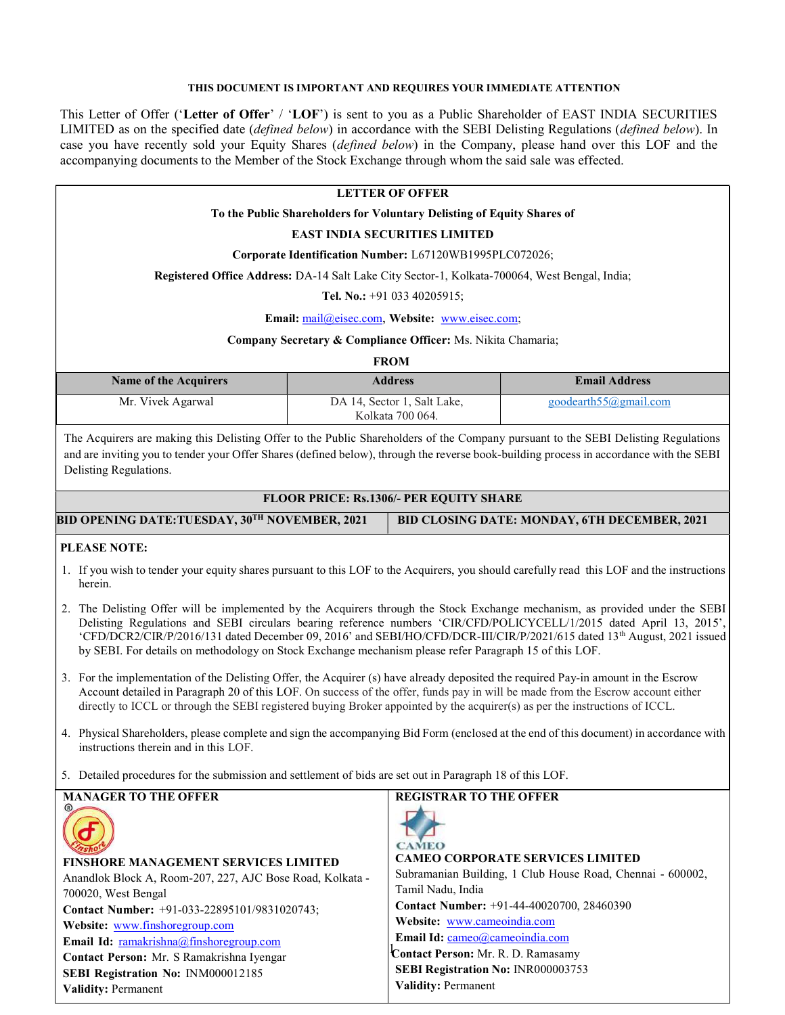# THIS DOCUMENT IS IMPORTANT AND REQUIRES YOUR IMMEDIATE ATTENTION

This Letter of Offer ('Letter of Offer' / 'LOF') is sent to you as a Public Shareholder of EAST INDIA SECURITIES LIMITED as on the specified date *(defined below)* in accordance with the SEBI Delisting Regulations *(defined below)*. In case you have recently sold your Equity Shares *(defined below)* in the Company, please hand over this LOF and the accompanying documents to the Member of the Stock Exchange through whom the said sale was effected.

# LETTER OF OFFER

# To the Public Shareholders for Voluntary Delisting of Equity Shares of

# EAST INDIA SECURITIES LIMITED

Corporate Identification Number: L67120WB1995PLC072026;

#### Registered Office Address: DA-14 Salt Lake City Sector-1, Kolkata-700064, West Bengal, India;

Tel. No.: +91 033 40205915;

Email: mail@eisec.com, Website: www.eisec.com;

#### Company Secretary & Compliance Officer: Ms. Nikita Chamaria;

FROM

| <b>Name of the Acquirers</b> | <b>Address</b>                                  | <b>Email Address</b>           |
|------------------------------|-------------------------------------------------|--------------------------------|
| Mr. Vivek Agarwal            | DA 14, Sector 1, Salt Lake,<br>Kolkata 700 064. | goodearth $55\omega$ gmail.com |

The Acquirers are making this Delisting Offer to the Public Shareholders of the Company pursuant to the SEBI Delisting Regulations and are inviting you to tender your Offer Shares (defined below), through the reverse book-building process in accordance with the SEBI Delisting Regulations.

#### FLOOR PRICE: Rs.1306/- PER EQUITY SHARE

| BID OPENING DATE:TUESDAY, 30TH NOVEMBER, 2021 | BID CLOSING DATE: MONDAY, 6TH DECEMBER, 2021 |
|-----------------------------------------------|----------------------------------------------|

#### PLEASE NOTE:

- 1. If you wish to tender your equity shares pursuant to this LOF to the Acquirers, you should carefully read this LOF and the instructions herein.
- 2. The Delisting Offer will be implemented by the Acquirers through the Stock Exchange mechanism, as provided under the SEBI Delisting Regulations and SEBI circulars bearing reference numbers 'CIR/CFD/POLICYCELL/1/2015 dated April 13, 2015', 'CFD/DCR2/CIR/P/2016/131 dated December 09, 2016' and SEBI/HO/CFD/DCR-III/CIR/P/2021/615 dated 13th August, 2021 issued by SEBI. For details on methodology on Stock Exchange mechanism please refer Paragraph 15 of this LOF.
- 3. For the implementation of the Delisting Offer, the Acquirer (s) have already deposited the required Pay-in amount in the Escrow Account detailed in Paragraph 20 of this LOF. On success of the offer, funds pay in will be made from the Escrow account either directly to ICCL or through the SEBI registered buying Broker appointed by the acquirer(s) as per the instructions of ICCL.
- 4. Physical Shareholders, please complete and sign the accompanying Bid Form (enclosed at the end of this document) in accordance with instructions therein and in this LOF.
- 5. Detailed procedures for the submission and settlement of bids are set out in Paragraph 18 of this LOF.

| <b>MANAGER TO THE OFFER</b>                               | <b>REGISTRAR TO THE OFFER</b>                              |
|-----------------------------------------------------------|------------------------------------------------------------|
|                                                           | <b>CAMEO</b>                                               |
| <b>FINSHORE MANAGEMENT SERVICES LIMITED</b>               | <b>CAMEO CORPORATE SERVICES LIMITED</b>                    |
| Anandlok Block A, Room-207, 227, AJC Bose Road, Kolkata - | Subramanian Building, 1 Club House Road, Chennai - 600002, |
| 700020, West Bengal                                       | Tamil Nadu, India                                          |
| Contact Number: +91-033-22895101/9831020743;              | Contact Number: +91-44-40020700, 28460390                  |
| Website: www.finshoregroup.com                            | Website: www.cameoindia.com                                |
| <b>Email Id:</b> ramakrishna@finshoregroup.com            | Email Id: cameo@cameoindia.com                             |
| Contact Person: Mr. S Ramakrishna Iyengar                 | Contact Person: Mr. R. D. Ramasamy                         |
| SEBI Registration No: INM000012185                        | SEBI Registration No: INR000003753                         |
| <b>Validity: Permanent</b>                                | <b>Validity: Permanent</b>                                 |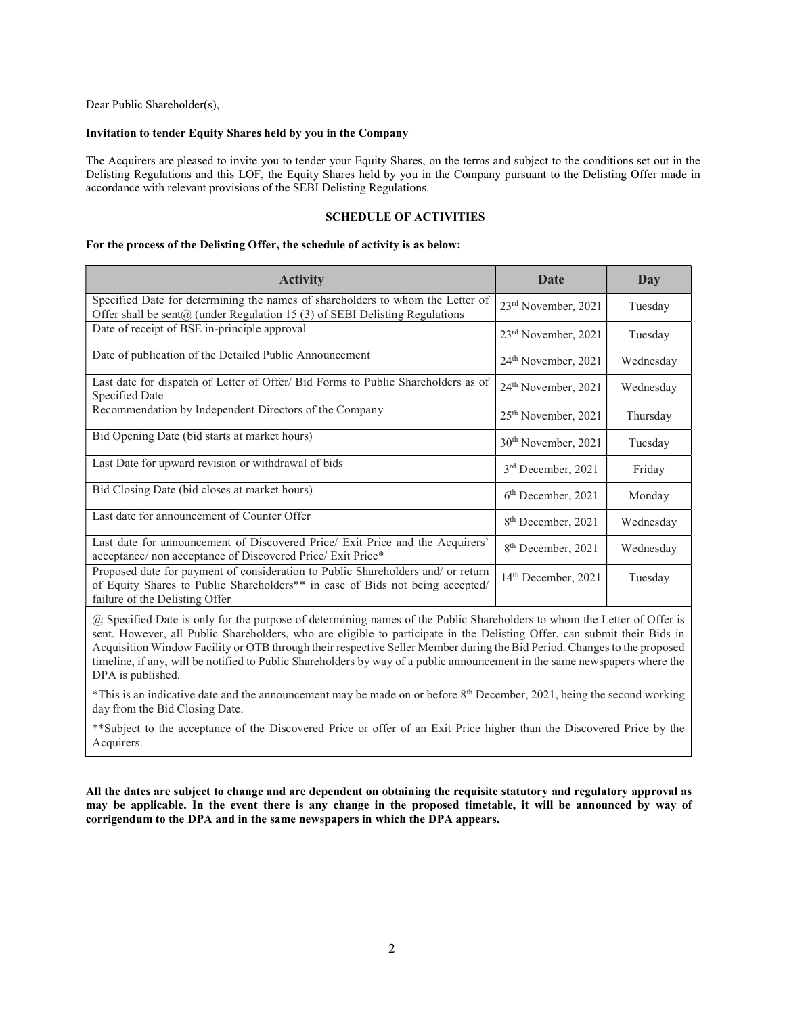Dear Public Shareholder(s),

### Invitation to tender Equity Shares held by you in the Company

The Acquirers are pleased to invite you to tender your Equity Shares, on the terms and subject to the conditions set out in the Delisting Regulations and this LOF, the Equity Shares held by you in the Company pursuant to the Delisting Offer made in accordance with relevant provisions of the SEBI Delisting Regulations.

#### SCHEDULE OF ACTIVITIES

#### For the process of the Delisting Offer, the schedule of activity is as below:

| <b>Activity</b>                                                                                                                                                                                     | Date                            | Day       |
|-----------------------------------------------------------------------------------------------------------------------------------------------------------------------------------------------------|---------------------------------|-----------|
| Specified Date for determining the names of shareholders to whom the Letter of<br>Offer shall be sent $@$ (under Regulation 15 (3) of SEBI Delisting Regulations                                    | 23rd November, 2021             | Tuesday   |
| Date of receipt of BSE in-principle approval                                                                                                                                                        | 23 <sup>rd</sup> November, 2021 | Tuesday   |
| Date of publication of the Detailed Public Announcement                                                                                                                                             | 24 <sup>th</sup> November, 2021 | Wednesday |
| Last date for dispatch of Letter of Offer/ Bid Forms to Public Shareholders as of<br>Specified Date                                                                                                 | 24 <sup>th</sup> November, 2021 | Wednesday |
| Recommendation by Independent Directors of the Company                                                                                                                                              | 25 <sup>th</sup> November, 2021 | Thursday  |
| Bid Opening Date (bid starts at market hours)                                                                                                                                                       | 30 <sup>th</sup> November, 2021 | Tuesday   |
| Last Date for upward revision or withdrawal of bids                                                                                                                                                 | $3rd$ December, 2021            | Friday    |
| Bid Closing Date (bid closes at market hours)                                                                                                                                                       | 6 <sup>th</sup> December, 2021  | Monday    |
| Last date for announcement of Counter Offer                                                                                                                                                         | 8 <sup>th</sup> December, 2021  | Wednesday |
| Last date for announcement of Discovered Price/ Exit Price and the Acquirers'<br>acceptance/ non acceptance of Discovered Price/ Exit Price*                                                        | 8 <sup>th</sup> December, 2021  | Wednesday |
| Proposed date for payment of consideration to Public Shareholders and/ or return<br>of Equity Shares to Public Shareholders** in case of Bids not being accepted/<br>failure of the Delisting Offer | 14 <sup>th</sup> December, 2021 | Tuesday   |

@ Specified Date is only for the purpose of determining names of the Public Shareholders to whom the Letter of Offer is sent. However, all Public Shareholders, who are eligible to participate in the Delisting Offer, can submit their Bids in Acquisition Window Facility or OTB through their respective Seller Member during the Bid Period. Changes to the proposed timeline, if any, will be notified to Public Shareholders by way of a public announcement in the same newspapers where the DPA is published.

\*This is an indicative date and the announcement may be made on or before 8th December, 2021, being the second working day from the Bid Closing Date.

\*\*Subject to the acceptance of the Discovered Price or offer of an Exit Price higher than the Discovered Price by the Acquirers.

All the dates are subject to change and are dependent on obtaining the requisite statutory and regulatory approval as may be applicable. In the event there is any change in the proposed timetable, it will be announced by way of corrigendum to the DPA and in the same newspapers in which the DPA appears.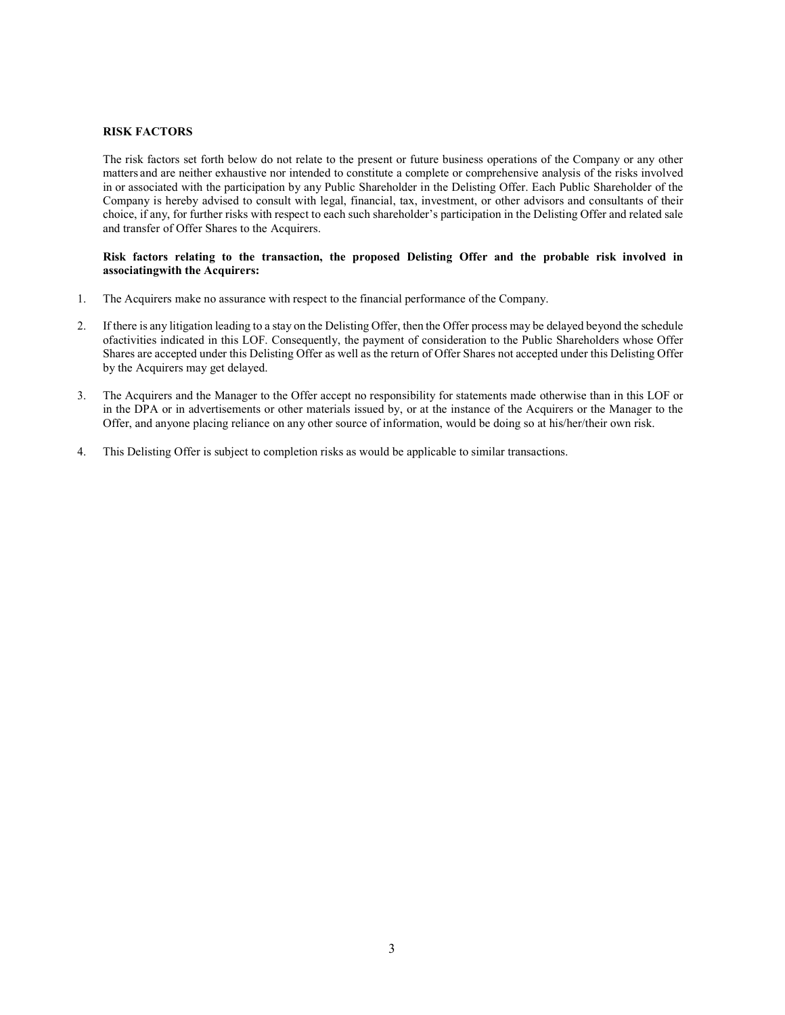#### RISK FACTORS

The risk factors set forth below do not relate to the present or future business operations of the Company or any other matters and are neither exhaustive nor intended to constitute a complete or comprehensive analysis of the risks involved in or associated with the participation by any Public Shareholder in the Delisting Offer. Each Public Shareholder of the Company is hereby advised to consult with legal, financial, tax, investment, or other advisors and consultants of their choice, if any, for further risks with respect to each such shareholder's participation in the Delisting Offer and related sale and transfer of Offer Shares to the Acquirers.

#### Risk factors relating to the transaction, the proposed Delisting Offer and the probable risk involved in associating with the Acquirers:

- 1. The Acquirers make no assurance with respect to the financial performance of the Company.
- 2. If there is any litigation leading to a stay on the Delisting Offer, then the Offer process may be delayed beyond the schedule of activities indicated in this LOF. Consequently, the payment of consideration to the Public Shareholders whose Offer Shares are accepted under this Delisting Offer as well as the return of Offer Shares not accepted under this Delisting Offer by the Acquirers may get delayed.
- 3. The Acquirers and the Manager to the Offer accept no responsibility for statements made otherwise than in this LOF or in the DPA or in advertisements or other materials issued by, or at the instance of the Acquirers or the Manager to the Offer, and anyone placing reliance on any other source of information, would be doing so at his/her/their own risk.
- 4. This Delisting Offer is subject to completion risks as would be applicable to similar transactions.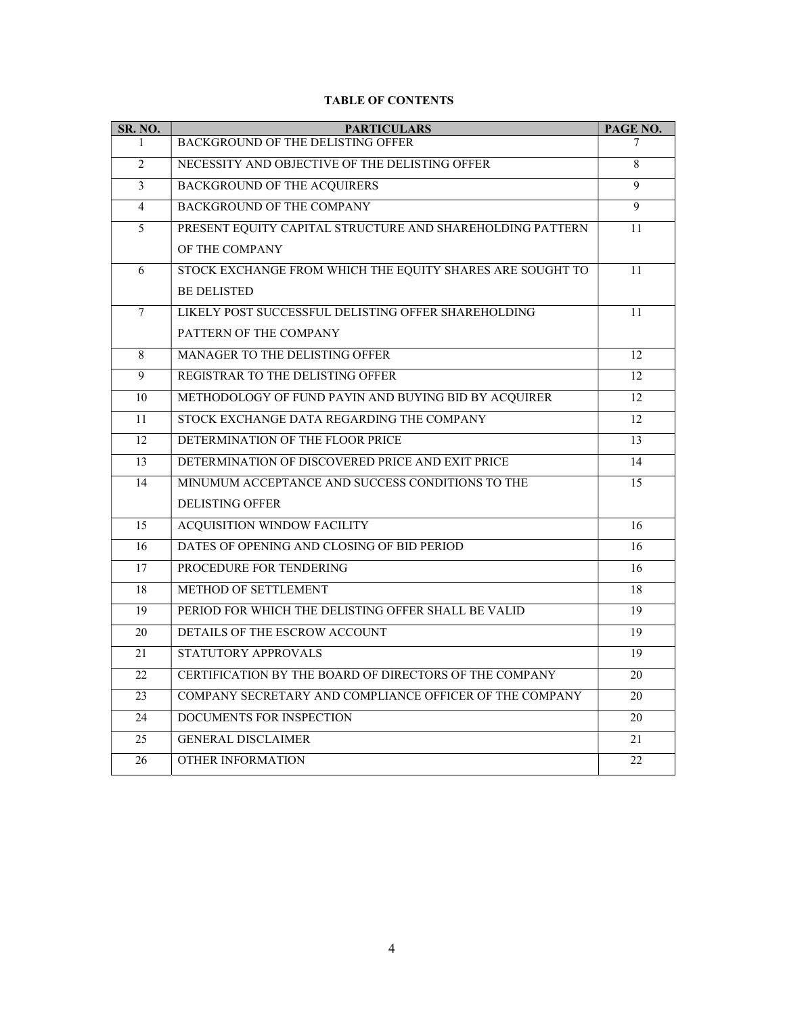| SR. NO. | <b>PARTICULARS</b>                                        | PAGE NO.        |
|---------|-----------------------------------------------------------|-----------------|
| 1       | <b>BACKGROUND OF THE DELISTING OFFER</b>                  | 7               |
| 2       | NECESSITY AND OBJECTIVE OF THE DELISTING OFFER            | 8               |
| 3       | <b>BACKGROUND OF THE ACQUIRERS</b>                        | $\overline{9}$  |
| 4       | <b>BACKGROUND OF THE COMPANY</b>                          | $\overline{9}$  |
| 5       | PRESENT EQUITY CAPITAL STRUCTURE AND SHAREHOLDING PATTERN | 11              |
|         | OF THE COMPANY                                            |                 |
| 6       | STOCK EXCHANGE FROM WHICH THE EQUITY SHARES ARE SOUGHT TO | 11              |
|         | <b>BE DELISTED</b>                                        |                 |
| 7       | LIKELY POST SUCCESSFUL DELISTING OFFER SHAREHOLDING       | 11              |
|         | PATTERN OF THE COMPANY                                    |                 |
| 8       | <b>MANAGER TO THE DELISTING OFFER</b>                     | 12              |
| 9       | REGISTRAR TO THE DELISTING OFFER                          | 12              |
| 10      | METHODOLOGY OF FUND PAYIN AND BUYING BID BY ACQUIRER      | 12              |
| 11      | STOCK EXCHANGE DATA REGARDING THE COMPANY                 | 12              |
| 12      | DETERMINATION OF THE FLOOR PRICE                          | 13              |
| 13      | DETERMINATION OF DISCOVERED PRICE AND EXIT PRICE          | 14              |
| 14      | MINUMUM ACCEPTANCE AND SUCCESS CONDITIONS TO THE          | 15              |
|         | <b>DELISTING OFFER</b>                                    |                 |
| 15      | <b>ACQUISITION WINDOW FACILITY</b>                        | $\overline{16}$ |
| 16      | DATES OF OPENING AND CLOSING OF BID PERIOD                | 16              |
| 17      | PROCEDURE FOR TENDERING                                   | 16              |
| 18      | <b>METHOD OF SETTLEMENT</b>                               | 18              |
| 19      | PERIOD FOR WHICH THE DELISTING OFFER SHALL BE VALID       | 19              |
| 20      | DETAILS OF THE ESCROW ACCOUNT                             | 19              |
| 21      | STATUTORY APPROVALS                                       | 19              |
| 22      | CERTIFICATION BY THE BOARD OF DIRECTORS OF THE COMPANY    | 20              |
| 23      | COMPANY SECRETARY AND COMPLIANCE OFFICER OF THE COMPANY   | 20              |
| 24      | DOCUMENTS FOR INSPECTION                                  | 20              |
| 25      | <b>GENERAL DISCLAIMER</b>                                 | 21              |
| 26      | <b>OTHER INFORMATION</b>                                  | 22              |

# TABLE OF CONTENTS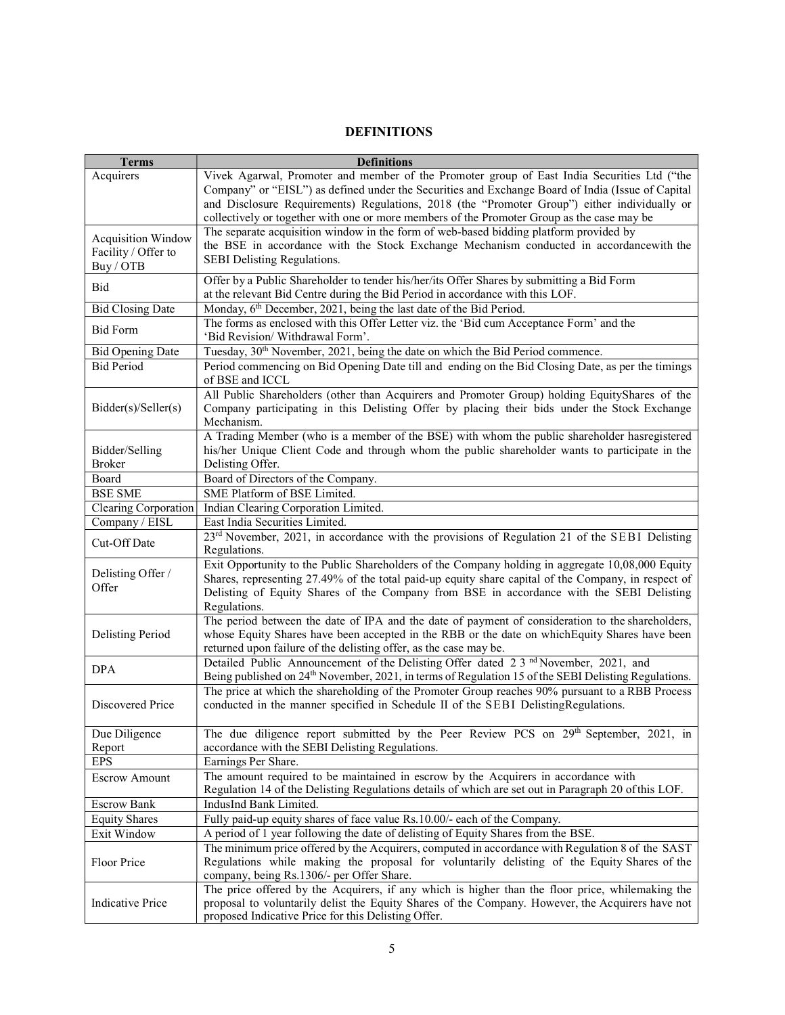# DEFINITIONS

| <b>Terms</b>              | <b>Definitions</b>                                                                                                                                                                         |
|---------------------------|--------------------------------------------------------------------------------------------------------------------------------------------------------------------------------------------|
| Acquirers                 | Vivek Agarwal, Promoter and member of the Promoter group of East India Securities Ltd ("the                                                                                                |
|                           | Company" or "EISL") as defined under the Securities and Exchange Board of India (Issue of Capital                                                                                          |
|                           | and Disclosure Requirements) Regulations, 2018 (the "Promoter Group") either individually or                                                                                               |
|                           | collectively or together with one or more members of the Promoter Group as the case may be                                                                                                 |
| <b>Acquisition Window</b> | The separate acquisition window in the form of web-based bidding platform provided by                                                                                                      |
| Facility / Offer to       | the BSE in accordance with the Stock Exchange Mechanism conducted in accordancewith the                                                                                                    |
| Buy / OTB                 | SEBI Delisting Regulations.                                                                                                                                                                |
|                           | Offer by a Public Shareholder to tender his/her/its Offer Shares by submitting a Bid Form                                                                                                  |
| Bid                       | at the relevant Bid Centre during the Bid Period in accordance with this LOF.                                                                                                              |
| <b>Bid Closing Date</b>   | Monday, 6 <sup>th</sup> December, 2021, being the last date of the Bid Period.                                                                                                             |
|                           | The forms as enclosed with this Offer Letter viz. the 'Bid cum Acceptance Form' and the                                                                                                    |
| <b>Bid Form</b>           | 'Bid Revision/ Withdrawal Form'.                                                                                                                                                           |
| <b>Bid Opening Date</b>   | Tuesday, 30 <sup>th</sup> November, 2021, being the date on which the Bid Period commence.                                                                                                 |
| <b>Bid Period</b>         | Period commencing on Bid Opening Date till and ending on the Bid Closing Date, as per the timings                                                                                          |
|                           | of BSE and ICCL                                                                                                                                                                            |
|                           | All Public Shareholders (other than Acquirers and Promoter Group) holding EquityShares of the                                                                                              |
| Bidder(s)/Seller(s)       | Company participating in this Delisting Offer by placing their bids under the Stock Exchange                                                                                               |
|                           | Mechanism.                                                                                                                                                                                 |
|                           | A Trading Member (who is a member of the BSE) with whom the public shareholder hasregistered                                                                                               |
| Bidder/Selling            | his/her Unique Client Code and through whom the public shareholder wants to participate in the                                                                                             |
| <b>Broker</b>             | Delisting Offer.                                                                                                                                                                           |
| Board                     | Board of Directors of the Company.                                                                                                                                                         |
| <b>BSE SME</b>            | SME Platform of BSE Limited.                                                                                                                                                               |
| Clearing Corporation      | Indian Clearing Corporation Limited.                                                                                                                                                       |
| Company / EISL            | East India Securities Limited.                                                                                                                                                             |
| Cut-Off Date              | 23 <sup>rd</sup> November, 2021, in accordance with the provisions of Regulation 21 of the SEBI Delisting<br>Regulations.                                                                  |
|                           | Exit Opportunity to the Public Shareholders of the Company holding in aggregate 10,08,000 Equity                                                                                           |
| Delisting Offer /         | Shares, representing 27.49% of the total paid-up equity share capital of the Company, in respect of                                                                                        |
| Offer                     | Delisting of Equity Shares of the Company from BSE in accordance with the SEBI Delisting                                                                                                   |
|                           | Regulations.                                                                                                                                                                               |
|                           | The period between the date of IPA and the date of payment of consideration to the shareholders,                                                                                           |
| <b>Delisting Period</b>   | whose Equity Shares have been accepted in the RBB or the date on which Equity Shares have been                                                                                             |
|                           | returned upon failure of the delisting offer, as the case may be.                                                                                                                          |
| <b>DPA</b>                | Detailed Public Announcement of the Delisting Offer dated 2.3 <sup>nd</sup> November, 2021, and                                                                                            |
|                           | Being published on 24 <sup>th</sup> November, 2021, in terms of Regulation 15 of the SEBI Delisting Regulations.                                                                           |
|                           | The price at which the shareholding of the Promoter Group reaches 90% pursuant to a RBB Process                                                                                            |
| Discovered Price          | conducted in the manner specified in Schedule II of the SEBI DelistingRegulations.                                                                                                         |
|                           |                                                                                                                                                                                            |
| Due Diligence             | The due diligence report submitted by the Peer Review PCS on 29 <sup>th</sup> September, 2021, in                                                                                          |
| Report                    | accordance with the SEBI Delisting Regulations.                                                                                                                                            |
| <b>EPS</b>                | Earnings Per Share.                                                                                                                                                                        |
| <b>Escrow Amount</b>      | The amount required to be maintained in escrow by the Acquirers in accordance with<br>Regulation 14 of the Delisting Regulations details of which are set out in Paragraph 20 of this LOF. |
|                           |                                                                                                                                                                                            |
| <b>Escrow Bank</b>        | IndusInd Bank Limited.<br>Fully paid-up equity shares of face value Rs.10.00/- each of the Company.                                                                                        |
| <b>Equity Shares</b>      |                                                                                                                                                                                            |
| Exit Window               | A period of 1 year following the date of delisting of Equity Shares from the BSE.<br>The minimum price offered by the Acquirers, computed in accordance with Regulation 8 of the SAST      |
| Floor Price               | Regulations while making the proposal for voluntarily delisting of the Equity Shares of the                                                                                                |
|                           | company, being Rs.1306/- per Offer Share.                                                                                                                                                  |
|                           | The price offered by the Acquirers, if any which is higher than the floor price, whilemaking the                                                                                           |
| <b>Indicative Price</b>   | proposal to voluntarily delist the Equity Shares of the Company. However, the Acquirers have not                                                                                           |
|                           | proposed Indicative Price for this Delisting Offer.                                                                                                                                        |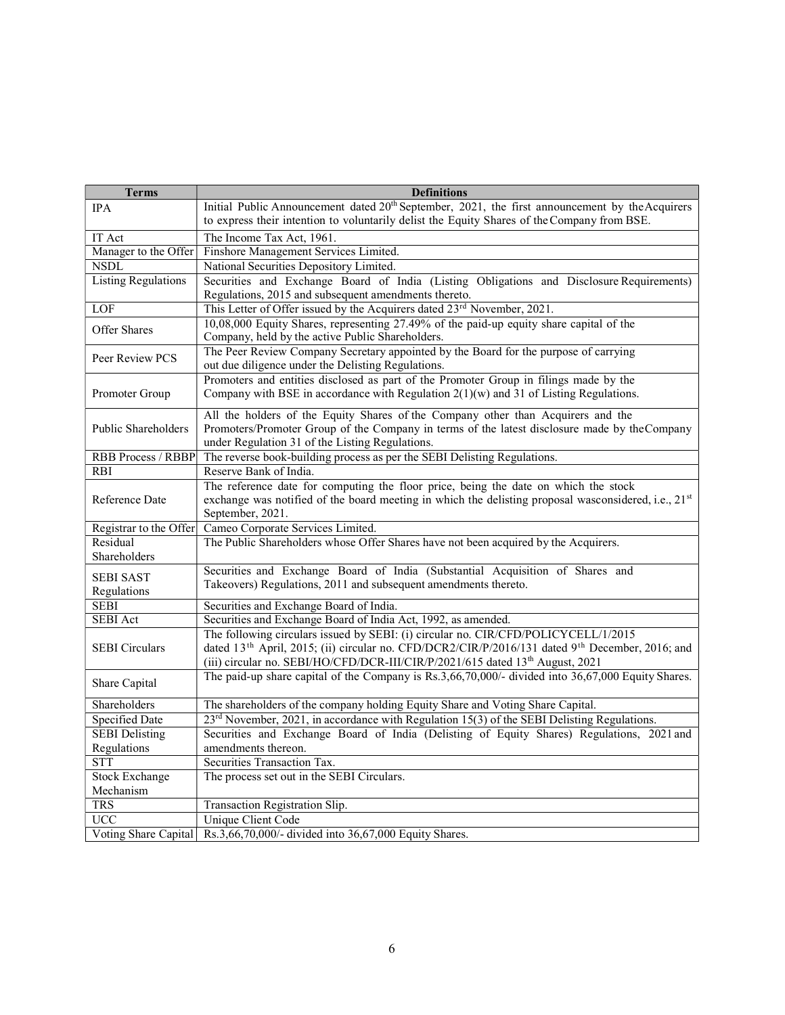| <b>Terms</b>               | <b>Definitions</b>                                                                                                                                                                |
|----------------------------|-----------------------------------------------------------------------------------------------------------------------------------------------------------------------------------|
| <b>IPA</b>                 | Initial Public Announcement dated 20 <sup>th</sup> September, 2021, the first announcement by the Acquirers                                                                       |
|                            | to express their intention to voluntarily delist the Equity Shares of the Company from BSE.                                                                                       |
| IT Act                     | The Income Tax Act, 1961.                                                                                                                                                         |
| Manager to the Offer       | Finshore Management Services Limited.                                                                                                                                             |
| <b>NSDL</b>                | National Securities Depository Limited.                                                                                                                                           |
| <b>Listing Regulations</b> | Securities and Exchange Board of India (Listing Obligations and Disclosure Requirements)                                                                                          |
|                            | Regulations, 2015 and subsequent amendments thereto.                                                                                                                              |
| LOF                        | This Letter of Offer issued by the Acquirers dated 23 <sup>rd</sup> November, 2021.                                                                                               |
| Offer Shares               | 10,08,000 Equity Shares, representing 27.49% of the paid-up equity share capital of the<br>Company, held by the active Public Shareholders.                                       |
| Peer Review PCS            | The Peer Review Company Secretary appointed by the Board for the purpose of carrying<br>out due diligence under the Delisting Regulations.                                        |
|                            | Promoters and entities disclosed as part of the Promoter Group in filings made by the                                                                                             |
| Promoter Group             | Company with BSE in accordance with Regulation $2(1)(w)$ and 31 of Listing Regulations.                                                                                           |
| Public Shareholders        | All the holders of the Equity Shares of the Company other than Acquirers and the<br>Promoters/Promoter Group of the Company in terms of the latest disclosure made by the Company |
|                            | under Regulation 31 of the Listing Regulations.                                                                                                                                   |
| RBB Process / RBBP         | The reverse book-building process as per the SEBI Delisting Regulations.                                                                                                          |
| <b>RBI</b>                 | Reserve Bank of India.                                                                                                                                                            |
|                            | The reference date for computing the floor price, being the date on which the stock                                                                                               |
| Reference Date             | exchange was notified of the board meeting in which the delisting proposal was considered, i.e., $21st$<br>September, 2021.                                                       |
| Registrar to the Offer     | Cameo Corporate Services Limited.                                                                                                                                                 |
| Residual                   | The Public Shareholders whose Offer Shares have not been acquired by the Acquirers.                                                                                               |
| Shareholders               |                                                                                                                                                                                   |
| <b>SEBI SAST</b>           | Securities and Exchange Board of India (Substantial Acquisition of Shares and                                                                                                     |
| Regulations                | Takeovers) Regulations, 2011 and subsequent amendments thereto.                                                                                                                   |
| <b>SEBI</b>                | Securities and Exchange Board of India.                                                                                                                                           |
| <b>SEBI</b> Act            | Securities and Exchange Board of India Act, 1992, as amended.                                                                                                                     |
|                            | The following circulars issued by SEBI: (i) circular no. CIR/CFD/POLICYCELL/1/2015                                                                                                |
| <b>SEBI</b> Circulars      | dated 13 <sup>th</sup> April, 2015; (ii) circular no. CFD/DCR2/CIR/P/2016/131 dated 9 <sup>th</sup> December, 2016; and                                                           |
|                            | (iii) circular no. SEBI/HO/CFD/DCR-III/CIR/P/2021/615 dated 13 <sup>th</sup> August, 2021                                                                                         |
| Share Capital              | The paid-up share capital of the Company is Rs.3,66,70,000/- divided into 36,67,000 Equity Shares.                                                                                |
| Shareholders               | The shareholders of the company holding Equity Share and Voting Share Capital.                                                                                                    |
| Specified Date             | 23 <sup>rd</sup> November, 2021, in accordance with Regulation 15(3) of the SEBI Delisting Regulations.                                                                           |
| <b>SEBI</b> Delisting      | Securities and Exchange Board of India (Delisting of Equity Shares) Regulations, 2021 and                                                                                         |
| Regulations                | amendments thereon.                                                                                                                                                               |
| <b>STT</b>                 | Securities Transaction Tax.                                                                                                                                                       |
| <b>Stock Exchange</b>      | The process set out in the SEBI Circulars.                                                                                                                                        |
| Mechanism                  |                                                                                                                                                                                   |
| <b>TRS</b>                 | Transaction Registration Slip.                                                                                                                                                    |
| $\overline{UCC}$           | Unique Client Code                                                                                                                                                                |
| Voting Share Capital       | Rs.3,66,70,000/- divided into 36,67,000 Equity Shares.                                                                                                                            |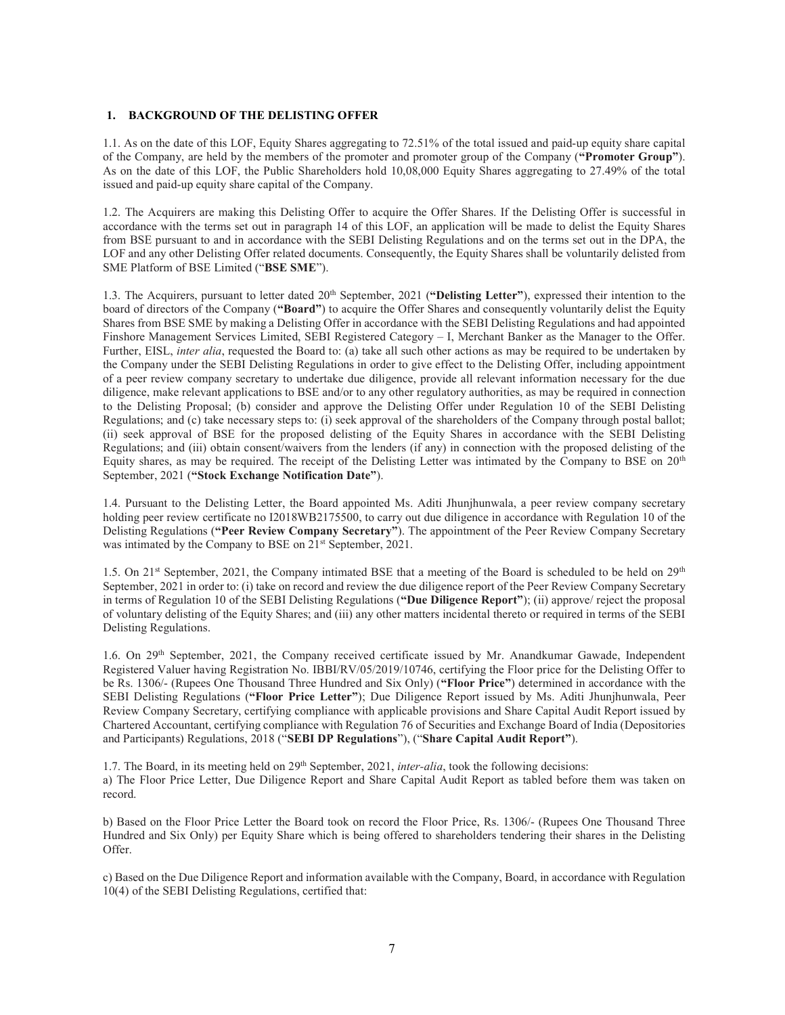#### 1. BACKGROUND OF THE DELISTING OFFER

1.1. As on the date of this LOF, Equity Shares aggregating to 72.51% of the total issued and paid-up equity share capital of the Company, are held by the members of the promoter and promoter group of the Company ("Promoter Group"). As on the date of this LOF, the Public Shareholders hold 10,08,000 Equity Shares aggregating to 27.49% of the total issued and paid-up equity share capital of the Company.

1.2. The Acquirers are making this Delisting Offer to acquire the Offer Shares. If the Delisting Offer is successful in accordance with the terms set out in paragraph 14 of this LOF, an application will be made to delist the Equity Shares from BSE pursuant to and in accordance with the SEBI Delisting Regulations and on the terms set out in the DPA, the LOF and any other Delisting Offer related documents. Consequently, the Equity Shares shall be voluntarily delisted from SME Platform of BSE Limited ("BSE SME").

1.3. The Acquirers, pursuant to letter dated 20<sup>th</sup> September, 2021 ("Delisting Letter"), expressed their intention to the board of directors of the Company ("Board") to acquire the Offer Shares and consequently voluntarily delist the Equity Shares from BSE SME by making a Delisting Offer in accordance with the SEBI Delisting Regulations and had appointed Finshore Management Services Limited, SEBI Registered Category – I, Merchant Banker as the Manager to the Offer. Further, EISL, inter alia, requested the Board to: (a) take all such other actions as may be required to be undertaken by the Company under the SEBI Delisting Regulations in order to give effect to the Delisting Offer, including appointment of a peer review company secretary to undertake due diligence, provide all relevant information necessary for the due diligence, make relevant applications to BSE and/or to any other regulatory authorities, as may be required in connection to the Delisting Proposal; (b) consider and approve the Delisting Offer under Regulation 10 of the SEBI Delisting Regulations; and (c) take necessary steps to: (i) seek approval of the shareholders of the Company through postal ballot; (ii) seek approval of BSE for the proposed delisting of the Equity Shares in accordance with the SEBI Delisting Regulations; and (iii) obtain consent/waivers from the lenders (if any) in connection with the proposed delisting of the Equity shares, as may be required. The receipt of the Delisting Letter was intimated by the Company to BSE on 20<sup>th</sup> September, 2021 ("Stock Exchange Notification Date").

1.4. Pursuant to the Delisting Letter, the Board appointed Ms. Aditi Jhunjhunwala, a peer review company secretary holding peer review certificate no I2018WB2175500, to carry out due diligence in accordance with Regulation 10 of the Delisting Regulations ("Peer Review Company Secretary"). The appointment of the Peer Review Company Secretary was intimated by the Company to BSE on 21<sup>st</sup> September, 2021.

1.5. On 21<sup>st</sup> September, 2021, the Company intimated BSE that a meeting of the Board is scheduled to be held on 29<sup>th</sup> September, 2021 in order to: (i) take on record and review the due diligence report of the Peer Review Company Secretary in terms of Regulation 10 of the SEBI Delisting Regulations ("Due Diligence Report"); (ii) approve/ reject the proposal of voluntary delisting of the Equity Shares; and (iii) any other matters incidental thereto or required in terms of the SEBI Delisting Regulations.

1.6. On 29th September, 2021, the Company received certificate issued by Mr. Anandkumar Gawade, Independent Registered Valuer having Registration No. IBBI/RV/05/2019/10746, certifying the Floor price for the Delisting Offer to be Rs. 1306/- (Rupees One Thousand Three Hundred and Six Only) ("Floor Price") determined in accordance with the SEBI Delisting Regulations ("Floor Price Letter"); Due Diligence Report issued by Ms. Aditi Jhunjhunwala, Peer Review Company Secretary, certifying compliance with applicable provisions and Share Capital Audit Report issued by Chartered Accountant, certifying compliance with Regulation 76 of Securities and Exchange Board of India (Depositories and Participants) Regulations, 2018 ("SEBI DP Regulations"), ("Share Capital Audit Report").

1.7. The Board, in its meeting held on  $29<sup>th</sup>$  September, 2021, *inter-alia*, took the following decisions: a) The Floor Price Letter, Due Diligence Report and Share Capital Audit Report as tabled before them was taken on record.

b) Based on the Floor Price Letter the Board took on record the Floor Price, Rs. 1306/- (Rupees One Thousand Three Hundred and Six Only) per Equity Share which is being offered to shareholders tendering their shares in the Delisting Offer.

c) Based on the Due Diligence Report and information available with the Company, Board, in accordance with Regulation 10(4) of the SEBI Delisting Regulations, certified that: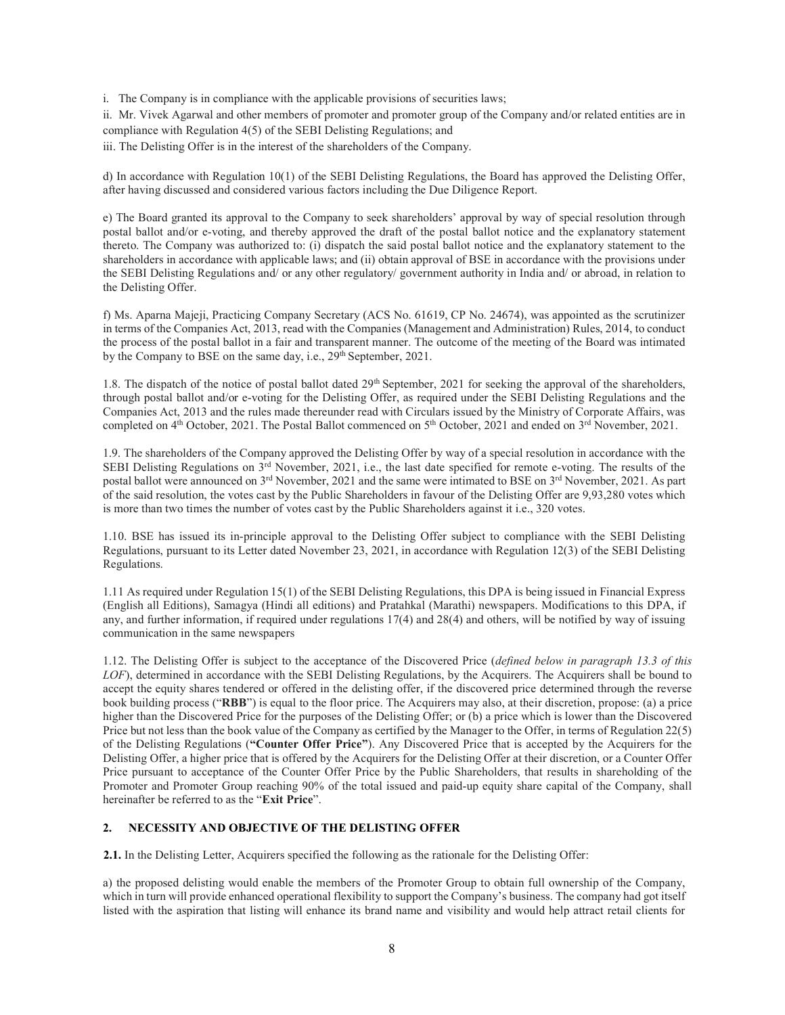i. The Company is in compliance with the applicable provisions of securities laws;

ii. Mr. Vivek Agarwal and other members of promoter and promoter group of the Company and/or related entities are in compliance with Regulation 4(5) of the SEBI Delisting Regulations; and

iii. The Delisting Offer is in the interest of the shareholders of the Company.

d) In accordance with Regulation 10(1) of the SEBI Delisting Regulations, the Board has approved the Delisting Offer, after having discussed and considered various factors including the Due Diligence Report.

e) The Board granted its approval to the Company to seek shareholders' approval by way of special resolution through postal ballot and/or e-voting, and thereby approved the draft of the postal ballot notice and the explanatory statement thereto. The Company was authorized to: (i) dispatch the said postal ballot notice and the explanatory statement to the shareholders in accordance with applicable laws; and (ii) obtain approval of BSE in accordance with the provisions under the SEBI Delisting Regulations and/ or any other regulatory/ government authority in India and/ or abroad, in relation to the Delisting Offer.

f) Ms. Aparna Majeji, Practicing Company Secretary (ACS No. 61619, CP No. 24674), was appointed as the scrutinizer in terms of the Companies Act, 2013, read with the Companies (Management and Administration) Rules, 2014, to conduct the process of the postal ballot in a fair and transparent manner. The outcome of the meeting of the Board was intimated by the Company to BSE on the same day, i.e., 29<sup>th</sup> September, 2021.

1.8. The dispatch of the notice of postal ballot dated 29<sup>th</sup> September, 2021 for seeking the approval of the shareholders, through postal ballot and/or e-voting for the Delisting Offer, as required under the SEBI Delisting Regulations and the Companies Act, 2013 and the rules made thereunder read with Circulars issued by the Ministry of Corporate Affairs, was completed on  $4<sup>th</sup>$  October, 2021. The Postal Ballot commenced on  $5<sup>th</sup>$  October, 2021 and ended on  $3<sup>rd</sup>$  November, 2021.

1.9. The shareholders of the Company approved the Delisting Offer by way of a special resolution in accordance with the SEBI Delisting Regulations on 3rd November, 2021, i.e., the last date specified for remote e-voting. The results of the postal ballot were announced on 3<sup>rd</sup> November, 2021 and the same were intimated to BSE on 3<sup>rd</sup> November, 2021. As part of the said resolution, the votes cast by the Public Shareholders in favour of the Delisting Offer are 9,93,280 votes which is more than two times the number of votes cast by the Public Shareholders against it i.e., 320 votes.

1.10. BSE has issued its in-principle approval to the Delisting Offer subject to compliance with the SEBI Delisting Regulations, pursuant to its Letter dated November 23, 2021, in accordance with Regulation 12(3) of the SEBI Delisting Regulations.

1.11 As required under Regulation 15(1) of the SEBI Delisting Regulations, this DPA is being issued in Financial Express (English all Editions), Samagya (Hindi all editions) and Pratahkal (Marathi) newspapers. Modifications to this DPA, if any, and further information, if required under regulations 17(4) and 28(4) and others, will be notified by way of issuing communication in the same newspapers

1.12. The Delisting Offer is subject to the acceptance of the Discovered Price (defined below in paragraph 13.3 of this LOF), determined in accordance with the SEBI Delisting Regulations, by the Acquirers. The Acquirers shall be bound to accept the equity shares tendered or offered in the delisting offer, if the discovered price determined through the reverse book building process ("RBB") is equal to the floor price. The Acquirers may also, at their discretion, propose: (a) a price higher than the Discovered Price for the purposes of the Delisting Offer; or (b) a price which is lower than the Discovered Price but not less than the book value of the Company as certified by the Manager to the Offer, in terms of Regulation 22(5) of the Delisting Regulations ("Counter Offer Price"). Any Discovered Price that is accepted by the Acquirers for the Delisting Offer, a higher price that is offered by the Acquirers for the Delisting Offer at their discretion, or a Counter Offer Price pursuant to acceptance of the Counter Offer Price by the Public Shareholders, that results in shareholding of the Promoter and Promoter Group reaching 90% of the total issued and paid-up equity share capital of the Company, shall hereinafter be referred to as the "Exit Price".

# 2. NECESSITY AND OBJECTIVE OF THE DELISTING OFFER

2.1. In the Delisting Letter, Acquirers specified the following as the rationale for the Delisting Offer:

a) the proposed delisting would enable the members of the Promoter Group to obtain full ownership of the Company, which in turn will provide enhanced operational flexibility to support the Company's business. The company had got itself listed with the aspiration that listing will enhance its brand name and visibility and would help attract retail clients for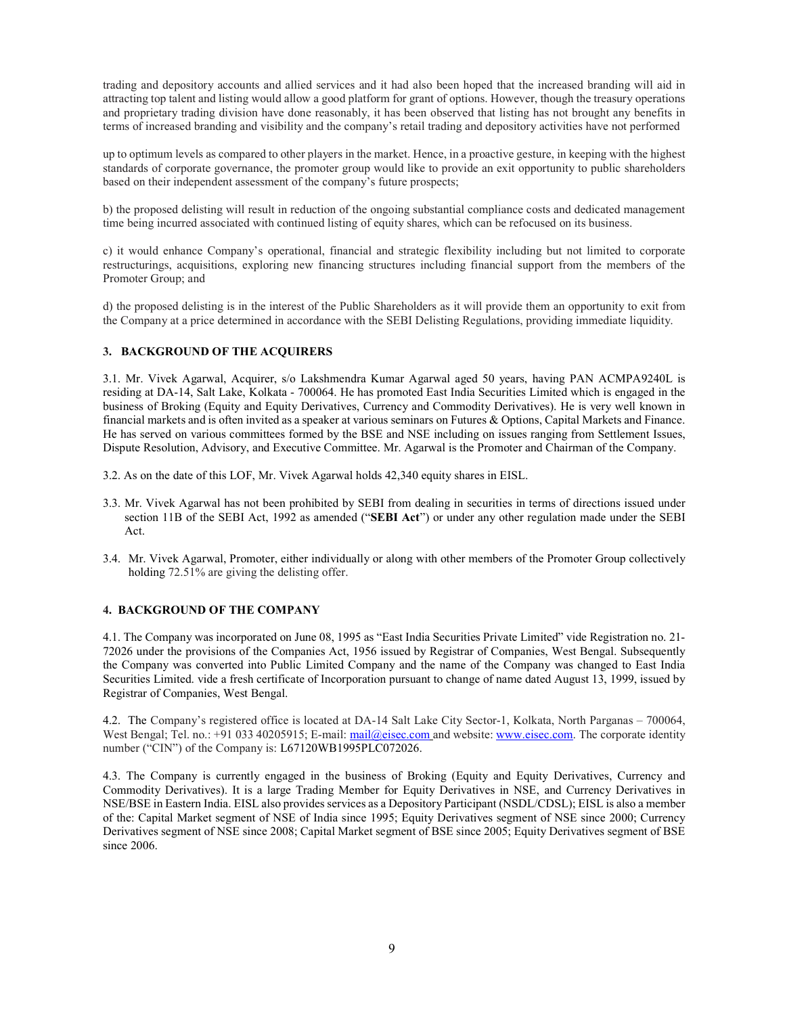trading and depository accounts and allied services and it had also been hoped that the increased branding will aid in attracting top talent and listing would allow a good platform for grant of options. However, though the treasury operations and proprietary trading division have done reasonably, it has been observed that listing has not brought any benefits in terms of increased branding and visibility and the company's retail trading and depository activities have not performed

up to optimum levels as compared to other players in the market. Hence, in a proactive gesture, in keeping with the highest standards of corporate governance, the promoter group would like to provide an exit opportunity to public shareholders based on their independent assessment of the company's future prospects;

b) the proposed delisting will result in reduction of the ongoing substantial compliance costs and dedicated management time being incurred associated with continued listing of equity shares, which can be refocused on its business.

c) it would enhance Company's operational, financial and strategic flexibility including but not limited to corporate restructurings, acquisitions, exploring new financing structures including financial support from the members of the Promoter Group; and

d) the proposed delisting is in the interest of the Public Shareholders as it will provide them an opportunity to exit from the Company at a price determined in accordance with the SEBI Delisting Regulations, providing immediate liquidity.

# 3. BACKGROUND OF THE ACQUIRERS

3.1. Mr. Vivek Agarwal, Acquirer, s/o Lakshmendra Kumar Agarwal aged 50 years, having PAN ACMPA9240L is residing at DA-14, Salt Lake, Kolkata - 700064. He has promoted East India Securities Limited which is engaged in the business of Broking (Equity and Equity Derivatives, Currency and Commodity Derivatives). He is very well known in financial markets and is often invited as a speaker at various seminars on Futures & Options, Capital Markets and Finance. He has served on various committees formed by the BSE and NSE including on issues ranging from Settlement Issues, Dispute Resolution, Advisory, and Executive Committee. Mr. Agarwal is the Promoter and Chairman of the Company.

- 3.2. As on the date of this LOF, Mr. Vivek Agarwal holds 42,340 equity shares in EISL.
- 3.3. Mr. Vivek Agarwal has not been prohibited by SEBI from dealing in securities in terms of directions issued under section 11B of the SEBI Act, 1992 as amended ("SEBI Act") or under any other regulation made under the SEBI Act.
- 3.4. Mr. Vivek Agarwal, Promoter, either individually or along with other members of the Promoter Group collectively holding 72.51% are giving the delisting offer.

#### 4. BACKGROUND OF THE COMPANY

4.1. The Company was incorporated on June 08, 1995 as "East India Securities Private Limited" vide Registration no. 21- 72026 under the provisions of the Companies Act, 1956 issued by Registrar of Companies, West Bengal. Subsequently the Company was converted into Public Limited Company and the name of the Company was changed to East India Securities Limited. vide a fresh certificate of Incorporation pursuant to change of name dated August 13, 1999, issued by Registrar of Companies, West Bengal.

4.2. The Company's registered office is located at DA-14 Salt Lake City Sector-1, Kolkata, North Parganas – 700064, West Bengal; Tel. no.: +91 033 40205915; E-mail: mail@eisec.com and website: www.eisec.com. The corporate identity number ("CIN") of the Company is: L67120WB1995PLC072026.

4.3. The Company is currently engaged in the business of Broking (Equity and Equity Derivatives, Currency and Commodity Derivatives). It is a large Trading Member for Equity Derivatives in NSE, and Currency Derivatives in NSE/BSE in Eastern India. EISL also provides services as a Depository Participant (NSDL/CDSL); EISL is also a member of the: Capital Market segment of NSE of India since 1995; Equity Derivatives segment of NSE since 2000; Currency Derivatives segment of NSE since 2008; Capital Market segment of BSE since 2005; Equity Derivatives segment of BSE since 2006.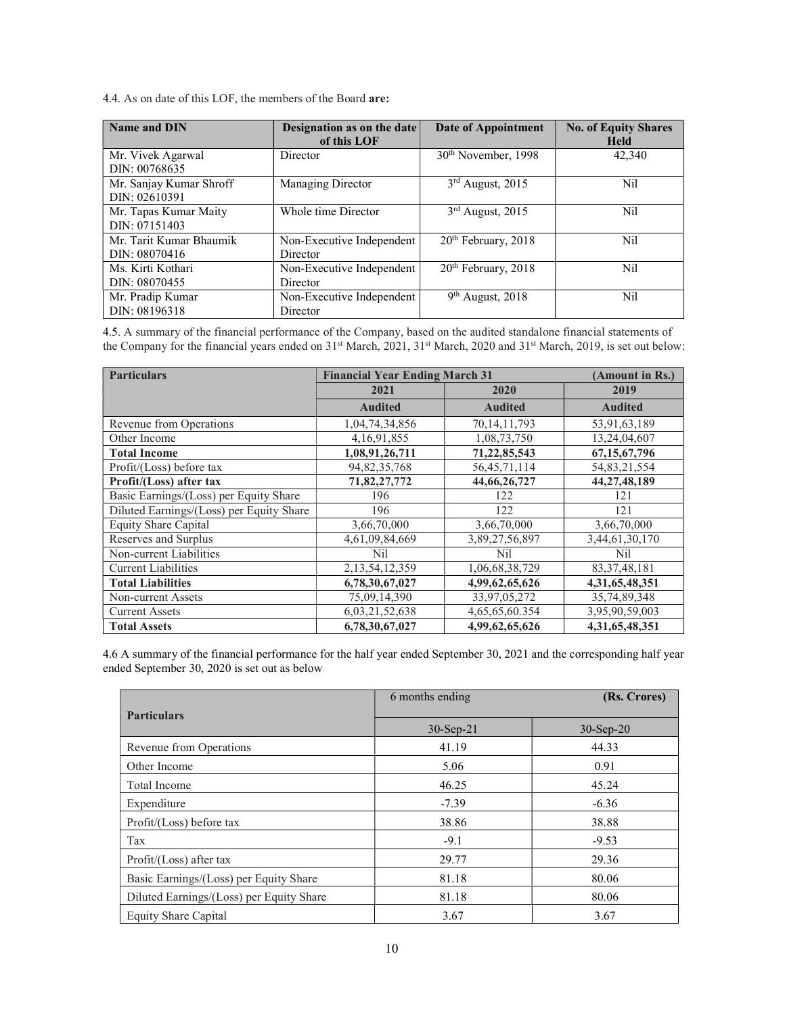4.4. As on date of this LOF, the members of the Board are:

| Name and DIN                             | Designation as on the date<br>of this LOF | Date of Appointment             | <b>No. of Equity Shares</b><br><b>Held</b> |
|------------------------------------------|-------------------------------------------|---------------------------------|--------------------------------------------|
| Mr. Vivek Agarwal<br>DIN: 00768635       | Director                                  | 30 <sup>th</sup> November, 1998 | 42,340                                     |
| Mr. Sanjay Kumar Shroff<br>DIN: 02610391 | Managing Director                         | $3rd$ August, 2015              | Nil                                        |
| Mr. Tapas Kumar Maity<br>DIN: 07151403   | Whole time Director                       | $3rd$ August, 2015              | Nil                                        |
| Mr. Tarit Kumar Bhaumik<br>DIN: 08070416 | Non-Executive Independent<br>Director     | $20th$ February, $2018$         | Nil                                        |
| Ms. Kirti Kothari<br>DIN: 08070455       | Non-Executive Independent<br>Director     | 20 <sup>th</sup> February, 2018 | Nil                                        |
| Mr. Pradip Kumar<br>DIN: 08196318        | Non-Executive Independent<br>Director     | $9th$ August, 2018              | Nil                                        |

4.5. A summary of the financial performance of the Company, based on the audited standalone financial statements of the Company for the financial years ended on 31<sup>st</sup> March, 2021, 31<sup>st</sup> March, 2020 and 31<sup>st</sup> March, 2019, is set out below:

| <b>Particulars</b>                       | <b>Financial Year Ending March 31</b><br>(Amount in Rs.) |                 |                 |
|------------------------------------------|----------------------------------------------------------|-----------------|-----------------|
|                                          | 2021                                                     | 2020            | 2019            |
|                                          | <b>Audited</b>                                           | <b>Audited</b>  | <b>Audited</b>  |
| Revenue from Operations                  | 1,04,74,34,856                                           | 70, 14, 11, 793 | 53,91,63,189    |
| Other Income                             | 4,16,91,855                                              | 1,08,73,750     | 13,24,04,607    |
| <b>Total Income</b>                      | 1,08,91,26,711                                           | 71, 22, 85, 543 | 67, 15, 67, 796 |
| Profit/(Loss) before tax                 | 94, 82, 35, 768                                          | 56, 45, 71, 114 | 54,83,21,554    |
| Profit/(Loss) after tax                  | 71,82,27,772                                             | 44, 66, 26, 727 | 44, 27, 48, 189 |
| Basic Earnings/(Loss) per Equity Share   | 196                                                      | 122             | 121             |
| Diluted Earnings/(Loss) per Equity Share | 196                                                      | 122             | 121             |
| Equity Share Capital                     | 3,66,70,000                                              | 3,66,70,000     | 3,66,70,000     |
| Reserves and Surplus                     | 4,61,09,84,669                                           | 3,89,27,56,897  | 3,44,61,30,170  |
| Non-current Liabilities                  | Nil                                                      | Nil             | Nil             |
| <b>Current Liabilities</b>               | 2, 13, 54, 12, 359                                       | 1,06,68,38,729  | 83, 37, 48, 181 |
| <b>Total Liabilities</b>                 | 6,78,30,67,027                                           | 4,99,62,65,626  | 4,31,65,48,351  |
| Non-current Assets                       | 75,09,14,390                                             | 33,97,05,272    | 35,74,89,348    |
| <b>Current Assets</b>                    | 6,03,21,52,638                                           | 4,65,65,60.354  | 3,95,90,59,003  |
| <b>Total Assets</b>                      | 6,78,30,67,027                                           | 4,99,62,65,626  | 4,31,65,48,351  |

4.6 A summary of the financial performance for the half year ended September 30, 2021 and the corresponding half year ended September 30, 2020 is set out as below

|                                          | 6 months ending | (Rs. Crores) |
|------------------------------------------|-----------------|--------------|
| <b>Particulars</b>                       |                 |              |
|                                          | $30-Sep-21$     | $30-Sep-20$  |
| Revenue from Operations                  | 41.19           | 44.33        |
| Other Income                             | 5.06            | 0.91         |
| <b>Total Income</b>                      | 46.25           | 45.24        |
| Expenditure                              | $-7.39$         | $-6.36$      |
| Profit/(Loss) before tax                 | 38.86           | 38.88        |
| Tax                                      | $-9.1$          | $-9.53$      |
| Profit/(Loss) after tax                  | 29.77           | 29.36        |
| Basic Earnings/(Loss) per Equity Share   | 81.18           | 80.06        |
| Diluted Earnings/(Loss) per Equity Share | 81.18           | 80.06        |
| Equity Share Capital                     | 3.67            | 3.67         |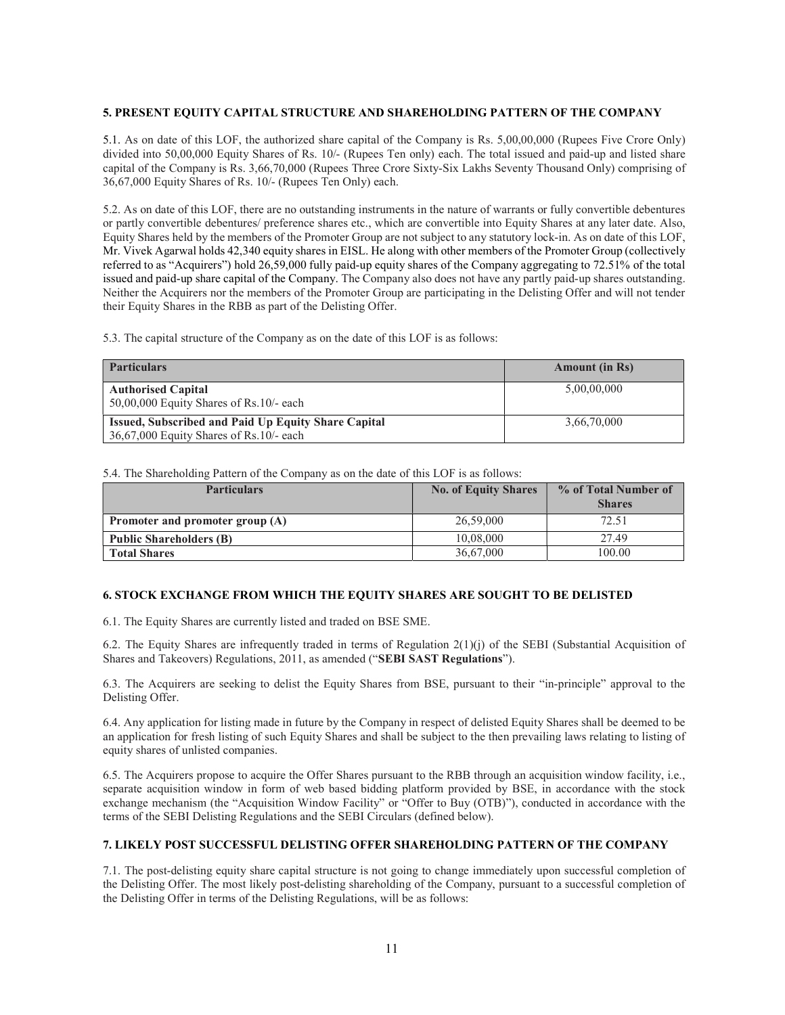# 5. PRESENT EQUITY CAPITAL STRUCTURE AND SHAREHOLDING PATTERN OF THE COMPANY

5.1. As on date of this LOF, the authorized share capital of the Company is Rs. 5,00,00,000 (Rupees Five Crore Only) divided into 50,00,000 Equity Shares of Rs. 10/- (Rupees Ten only) each. The total issued and paid-up and listed share capital of the Company is Rs. 3,66,70,000 (Rupees Three Crore Sixty-Six Lakhs Seventy Thousand Only) comprising of 36,67,000 Equity Shares of Rs. 10/- (Rupees Ten Only) each.

5.2. As on date of this LOF, there are no outstanding instruments in the nature of warrants or fully convertible debentures or partly convertible debentures/ preference shares etc., which are convertible into Equity Shares at any later date. Also, Equity Shares held by the members of the Promoter Group are not subject to any statutory lock-in. As on date of this LOF, Mr. Vivek Agarwal holds 42,340 equity shares in EISL. He along with other members of the Promoter Group (collectively referred to as "Acquirers") hold 26,59,000 fully paid-up equity shares of the Company aggregating to 72.51% of the total issued and paid-up share capital of the Company. The Company also does not have any partly paid-up shares outstanding. Neither the Acquirers nor the members of the Promoter Group are participating in the Delisting Offer and will not tender their Equity Shares in the RBB as part of the Delisting Offer.

5.3. The capital structure of the Company as on the date of this LOF is as follows:

| <b>Particulars</b>                                                                             | <b>Amount</b> (in Rs) |
|------------------------------------------------------------------------------------------------|-----------------------|
| <b>Authorised Capital</b><br>$50,00,000$ Equity Shares of Rs.10/- each                         | 5,00,00,000           |
| Issued, Subscribed and Paid Up Equity Share Capital<br>36,67,000 Equity Shares of Rs.10/- each | 3.66.70.000           |

5.4. The Shareholding Pattern of the Company as on the date of this LOF is as follows:

| <b>Particulars</b>              | <b>No. of Equity Shares</b> | % of Total Number of<br><b>Shares</b> |
|---------------------------------|-----------------------------|---------------------------------------|
| Promoter and promoter group (A) | 26,59,000                   | 72.51                                 |
| <b>Public Shareholders (B)</b>  | 10.08.000                   | 27.49                                 |
| <b>Total Shares</b>             | 36,67,000                   | 100.00                                |

#### 6. STOCK EXCHANGE FROM WHICH THE EQUITY SHARES ARE SOUGHT TO BE DELISTED

6.1. The Equity Shares are currently listed and traded on BSE SME.

6.2. The Equity Shares are infrequently traded in terms of Regulation 2(1)(j) of the SEBI (Substantial Acquisition of Shares and Takeovers) Regulations, 2011, as amended ("SEBI SAST Regulations").

6.3. The Acquirers are seeking to delist the Equity Shares from BSE, pursuant to their "in-principle" approval to the Delisting Offer.

6.4. Any application for listing made in future by the Company in respect of delisted Equity Shares shall be deemed to be an application for fresh listing of such Equity Shares and shall be subject to the then prevailing laws relating to listing of equity shares of unlisted companies.

6.5. The Acquirers propose to acquire the Offer Shares pursuant to the RBB through an acquisition window facility, i.e., separate acquisition window in form of web based bidding platform provided by BSE, in accordance with the stock exchange mechanism (the "Acquisition Window Facility" or "Offer to Buy (OTB)"), conducted in accordance with the terms of the SEBI Delisting Regulations and the SEBI Circulars (defined below).

# 7. LIKELY POST SUCCESSFUL DELISTING OFFER SHAREHOLDING PATTERN OF THE COMPANY

7.1. The post-delisting equity share capital structure is not going to change immediately upon successful completion of the Delisting Offer. The most likely post-delisting shareholding of the Company, pursuant to a successful completion of the Delisting Offer in terms of the Delisting Regulations, will be as follows: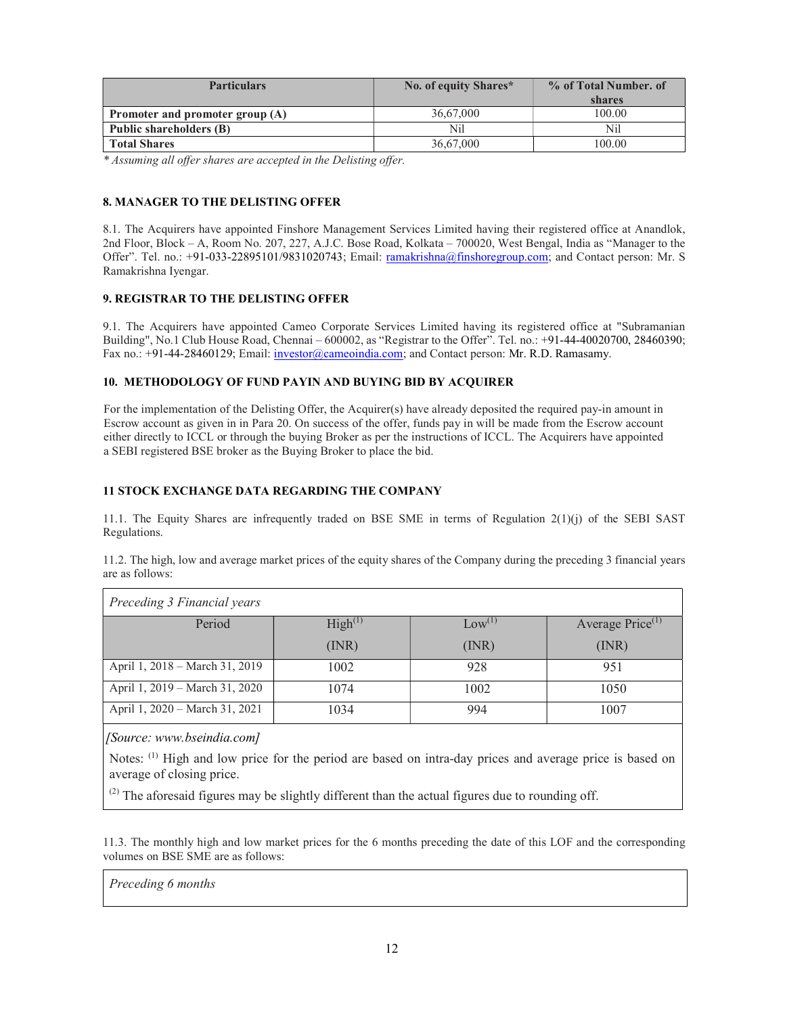| <b>Particulars</b>              | No. of equity Shares* | % of Total Number. of |
|---------------------------------|-----------------------|-----------------------|
|                                 |                       | shares                |
| Promoter and promoter group (A) | 36,67,000             | 100.00                |
| Public shareholders (B)         | Nil                   | Nil                   |
| <b>Total Shares</b>             | 36,67,000             | 100.00                |

\* Assuming all offer shares are accepted in the Delisting offer.

# 8. MANAGER TO THE DELISTING OFFER

8.1. The Acquirers have appointed Finshore Management Services Limited having their registered office at Anandlok, 2nd Floor, Block – A, Room No. 207, 227, A.J.C. Bose Road, Kolkata – 700020, West Bengal, India as "Manager to the Offer". Tel. no.: +91-033-22895101/9831020743; Email: ramakrishna@finshoregroup.com; and Contact person: Mr. S Ramakrishna Iyengar.

# 9. REGISTRAR TO THE DELISTING OFFER

9.1. The Acquirers have appointed Cameo Corporate Services Limited having its registered office at "Subramanian Building", No.1 Club House Road, Chennai – 600002, as "Registrar to the Offer". Tel. no.: +91-44-40020700, 28460390; Fax no.: +91-44-28460129; Email: investor@cameoindia.com; and Contact person: Mr. R.D. Ramasamy.

### 10. METHODOLOGY OF FUND PAYIN AND BUYING BID BY ACQUIRER

For the implementation of the Delisting Offer, the Acquirer(s) have already deposited the required pay-in amount in Escrow account as given in in Para 20. On success of the offer, funds pay in will be made from the Escrow account either directly to ICCL or through the buying Broker as per the instructions of ICCL. The Acquirers have appointed a SEBI registered BSE broker as the Buying Broker to place the bid.

# 11 STOCK EXCHANGE DATA REGARDING THE COMPANY

11.1. The Equity Shares are infrequently traded on BSE SME in terms of Regulation 2(1)(j) of the SEBI SAST Regulations.

11.2. The high, low and average market prices of the equity shares of the Company during the preceding 3 financial years are as follows:

| Preceding 3 Financial years    |                     |                 |                              |
|--------------------------------|---------------------|-----------------|------------------------------|
| Period                         | High <sup>(1)</sup> | $\rm Low^{(1)}$ | Average Price <sup>(1)</sup> |
|                                | (INR)               | (INR)           | (MR)                         |
| April 1, 2018 – March 31, 2019 | 1002                | 928             | 951                          |
| April 1, 2019 – March 31, 2020 | 1074                | 1002            | 1050                         |
| April 1, 2020 - March 31, 2021 | 1034                | 994             | 1007                         |

[Source: www.bseindia.com]

Notes: (1) High and low price for the period are based on intra-day prices and average price is based on average of closing price.

 $^{(2)}$  The aforesaid figures may be slightly different than the actual figures due to rounding off.

11.3. The monthly high and low market prices for the 6 months preceding the date of this LOF and the corresponding volumes on BSE SME are as follows:

Preceding 6 months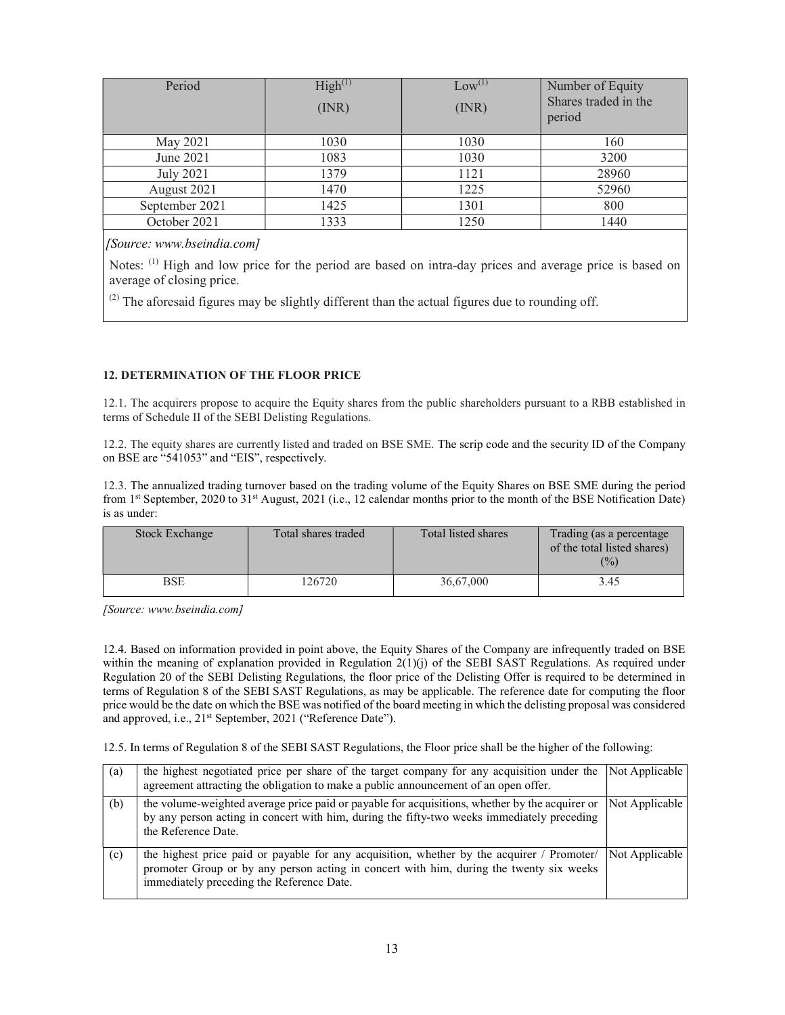| Period           | High <sup>(1)</sup><br>(INR) | $Low^{(1)}$<br>(MR) | Number of Equity<br>Shares traded in the<br>period |
|------------------|------------------------------|---------------------|----------------------------------------------------|
| May 2021         | 1030                         | 1030                | 160                                                |
| June 2021        | 1083                         | 1030                | 3200                                               |
| <b>July 2021</b> | 1379                         | 1121                | 28960                                              |
| August 2021      | 1470                         | 1225                | 52960                                              |
| September 2021   | 1425                         | 1301                | 800                                                |
| October 2021     | 1333                         | 1250                | 1440                                               |

[Source: www.bseindia.com]

Notes: <sup>(1)</sup> High and low price for the period are based on intra-day prices and average price is based on average of closing price.

 $<sup>(2)</sup>$  The aforesaid figures may be slightly different than the actual figures due to rounding off.</sup>

# 12. DETERMINATION OF THE FLOOR PRICE

12.1. The acquirers propose to acquire the Equity shares from the public shareholders pursuant to a RBB established in terms of Schedule II of the SEBI Delisting Regulations.

12.2. The equity shares are currently listed and traded on BSE SME. The scrip code and the security ID of the Company on BSE are "541053" and "EIS", respectively.

12.3. The annualized trading turnover based on the trading volume of the Equity Shares on BSE SME during the period from 1<sup>st</sup> September, 2020 to 31<sup>st</sup> August, 2021 (i.e., 12 calendar months prior to the month of the BSE Notification Date) is as under:

| <b>Stock Exchange</b> | Total shares traded | Total listed shares | Trading (as a percentage<br>of the total listed shares)<br>(%) |
|-----------------------|---------------------|---------------------|----------------------------------------------------------------|
| BSE                   | 126720              | 36,67,000           | 3.45                                                           |

[Source: www.bseindia.com]

12.4. Based on information provided in point above, the Equity Shares of the Company are infrequently traded on BSE within the meaning of explanation provided in Regulation 2(1)(j) of the SEBI SAST Regulations. As required under Regulation 20 of the SEBI Delisting Regulations, the floor price of the Delisting Offer is required to be determined in terms of Regulation 8 of the SEBI SAST Regulations, as may be applicable. The reference date for computing the floor price would be the date on which the BSE was notified of the board meeting in which the delisting proposal was considered and approved, i.e., 21<sup>st</sup> September, 2021 ("Reference Date").

12.5. In terms of Regulation 8 of the SEBI SAST Regulations, the Floor price shall be the higher of the following:

| (a) | the highest negotiated price per share of the target company for any acquisition under the<br>agreement attracting the obligation to make a public announcement of an open offer.                                                  | Not Applicable |
|-----|------------------------------------------------------------------------------------------------------------------------------------------------------------------------------------------------------------------------------------|----------------|
| (b) | the volume-weighted average price paid or payable for acquisitions, whether by the acquirer or<br>by any person acting in concert with him, during the fifty-two weeks immediately preceding<br>the Reference Date.                | Not Applicable |
| (c) | the highest price paid or payable for any acquisition, whether by the acquirer / Promoter/<br>promoter Group or by any person acting in concert with him, during the twenty six weeks<br>immediately preceding the Reference Date. | Not Applicable |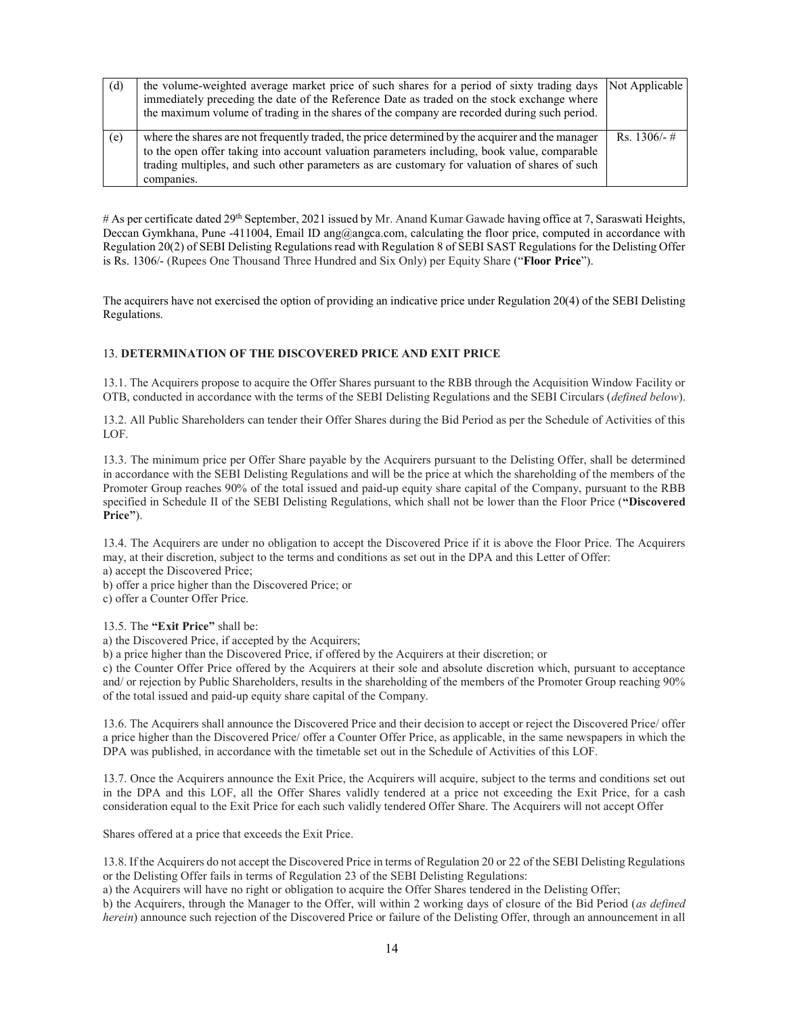| (d) | the volume-weighted average market price of such shares for a period of sixty trading days Not Applicable |              |
|-----|-----------------------------------------------------------------------------------------------------------|--------------|
|     | immediately preceding the date of the Reference Date as traded on the stock exchange where                |              |
|     | the maximum volume of trading in the shares of the company are recorded during such period.               |              |
|     |                                                                                                           |              |
| (e) | where the shares are not frequently traded, the price determined by the acquirer and the manager          | Rs. 1306/- # |
|     | to the open offer taking into account valuation parameters including, book value, comparable              |              |
|     | trading multiples, and such other parameters as are customary for valuation of shares of such             |              |
|     | companies.                                                                                                |              |

# As per certificate dated 29<sup>th</sup> September, 2021 issued by Mr. Anand Kumar Gawade having office at 7, Saraswati Heights, Deccan Gymkhana, Pune -411004, Email ID ang@angca.com, calculating the floor price, computed in accordance with Regulation 20(2) of SEBI Delisting Regulations read with Regulation 8 of SEBI SAST Regulations for the Delisting Offer is Rs. 1306/- (Rupees One Thousand Three Hundred and Six Only) per Equity Share ("Floor Price").

The acquirers have not exercised the option of providing an indicative price under Regulation 20(4) of the SEBI Delisting Regulations.

## 13. DETERMINATION OF THE DISCOVERED PRICE AND EXIT PRICE

13.1. The Acquirers propose to acquire the Offer Shares pursuant to the RBB through the Acquisition Window Facility or OTB, conducted in accordance with the terms of the SEBI Delisting Regulations and the SEBI Circulars (defined below).

13.2. All Public Shareholders can tender their Offer Shares during the Bid Period as per the Schedule of Activities of this LOF.

13.3. The minimum price per Offer Share payable by the Acquirers pursuant to the Delisting Offer, shall be determined in accordance with the SEBI Delisting Regulations and will be the price at which the shareholding of the members of the Promoter Group reaches 90% of the total issued and paid-up equity share capital of the Company, pursuant to the RBB specified in Schedule II of the SEBI Delisting Regulations, which shall not be lower than the Floor Price ("Discovered Price").

13.4. The Acquirers are under no obligation to accept the Discovered Price if it is above the Floor Price. The Acquirers may, at their discretion, subject to the terms and conditions as set out in the DPA and this Letter of Offer: a) accept the Discovered Price;

b) offer a price higher than the Discovered Price; or

c) offer a Counter Offer Price.

13.5. The "Exit Price" shall be:

a) the Discovered Price, if accepted by the Acquirers;

b) a price higher than the Discovered Price, if offered by the Acquirers at their discretion; or

c) the Counter Offer Price offered by the Acquirers at their sole and absolute discretion which, pursuant to acceptance and/ or rejection by Public Shareholders, results in the shareholding of the members of the Promoter Group reaching 90% of the total issued and paid-up equity share capital of the Company.

13.6. The Acquirers shall announce the Discovered Price and their decision to accept or reject the Discovered Price/ offer a price higher than the Discovered Price/ offer a Counter Offer Price, as applicable, in the same newspapers in which the DPA was published, in accordance with the timetable set out in the Schedule of Activities of this LOF.

13.7. Once the Acquirers announce the Exit Price, the Acquirers will acquire, subject to the terms and conditions set out in the DPA and this LOF, all the Offer Shares validly tendered at a price not exceeding the Exit Price, for a cash consideration equal to the Exit Price for each such validly tendered Offer Share. The Acquirers will not accept Offer

Shares offered at a price that exceeds the Exit Price.

13.8. If the Acquirers do not accept the Discovered Price in terms of Regulation 20 or 22 of the SEBI Delisting Regulations or the Delisting Offer fails in terms of Regulation 23 of the SEBI Delisting Regulations:

a) the Acquirers will have no right or obligation to acquire the Offer Shares tendered in the Delisting Offer;

b) the Acquirers, through the Manager to the Offer, will within 2 working days of closure of the Bid Period (as defined herein) announce such rejection of the Discovered Price or failure of the Delisting Offer, through an announcement in all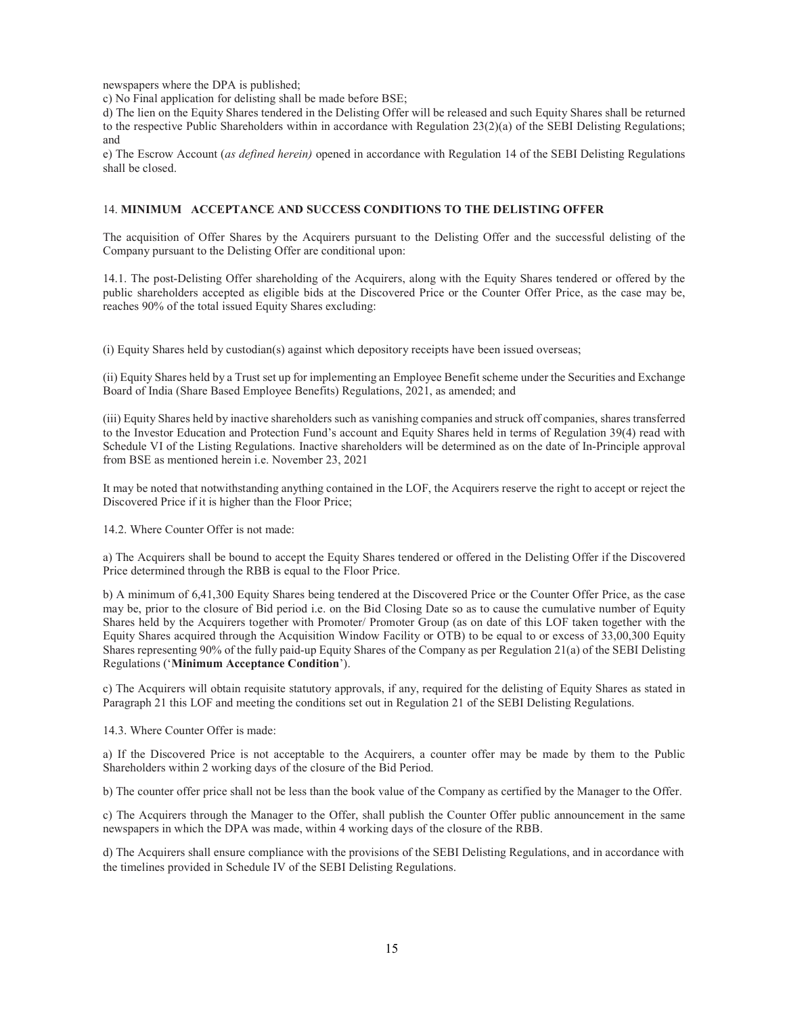newspapers where the DPA is published;

c) No Final application for delisting shall be made before BSE;

d) The lien on the Equity Shares tendered in the Delisting Offer will be released and such Equity Shares shall be returned to the respective Public Shareholders within in accordance with Regulation 23(2)(a) of the SEBI Delisting Regulations; and

e) The Escrow Account (as defined herein) opened in accordance with Regulation 14 of the SEBI Delisting Regulations shall be closed.

#### 14. MINIMUM ACCEPTANCE AND SUCCESS CONDITIONS TO THE DELISTING OFFER

The acquisition of Offer Shares by the Acquirers pursuant to the Delisting Offer and the successful delisting of the Company pursuant to the Delisting Offer are conditional upon:

14.1. The post-Delisting Offer shareholding of the Acquirers, along with the Equity Shares tendered or offered by the public shareholders accepted as eligible bids at the Discovered Price or the Counter Offer Price, as the case may be, reaches 90% of the total issued Equity Shares excluding:

(i) Equity Shares held by custodian(s) against which depository receipts have been issued overseas;

(ii) Equity Shares held by a Trust set up for implementing an Employee Benefit scheme under the Securities and Exchange Board of India (Share Based Employee Benefits) Regulations, 2021, as amended; and

(iii) Equity Shares held by inactive shareholders such as vanishing companies and struck off companies, shares transferred to the Investor Education and Protection Fund's account and Equity Shares held in terms of Regulation 39(4) read with Schedule VI of the Listing Regulations. Inactive shareholders will be determined as on the date of In-Principle approval from BSE as mentioned herein i.e. November 23, 2021

It may be noted that notwithstanding anything contained in the LOF, the Acquirers reserve the right to accept or reject the Discovered Price if it is higher than the Floor Price;

14.2. Where Counter Offer is not made:

a) The Acquirers shall be bound to accept the Equity Shares tendered or offered in the Delisting Offer if the Discovered Price determined through the RBB is equal to the Floor Price.

b) A minimum of 6,41,300 Equity Shares being tendered at the Discovered Price or the Counter Offer Price, as the case may be, prior to the closure of Bid period i.e. on the Bid Closing Date so as to cause the cumulative number of Equity Shares held by the Acquirers together with Promoter/ Promoter Group (as on date of this LOF taken together with the Equity Shares acquired through the Acquisition Window Facility or OTB) to be equal to or excess of 33,00,300 Equity Shares representing 90% of the fully paid-up Equity Shares of the Company as per Regulation 21(a) of the SEBI Delisting Regulations ('Minimum Acceptance Condition').

c) The Acquirers will obtain requisite statutory approvals, if any, required for the delisting of Equity Shares as stated in Paragraph 21 this LOF and meeting the conditions set out in Regulation 21 of the SEBI Delisting Regulations.

14.3. Where Counter Offer is made:

a) If the Discovered Price is not acceptable to the Acquirers, a counter offer may be made by them to the Public Shareholders within 2 working days of the closure of the Bid Period.

b) The counter offer price shall not be less than the book value of the Company as certified by the Manager to the Offer.

c) The Acquirers through the Manager to the Offer, shall publish the Counter Offer public announcement in the same newspapers in which the DPA was made, within 4 working days of the closure of the RBB.

d) The Acquirers shall ensure compliance with the provisions of the SEBI Delisting Regulations, and in accordance with the timelines provided in Schedule IV of the SEBI Delisting Regulations.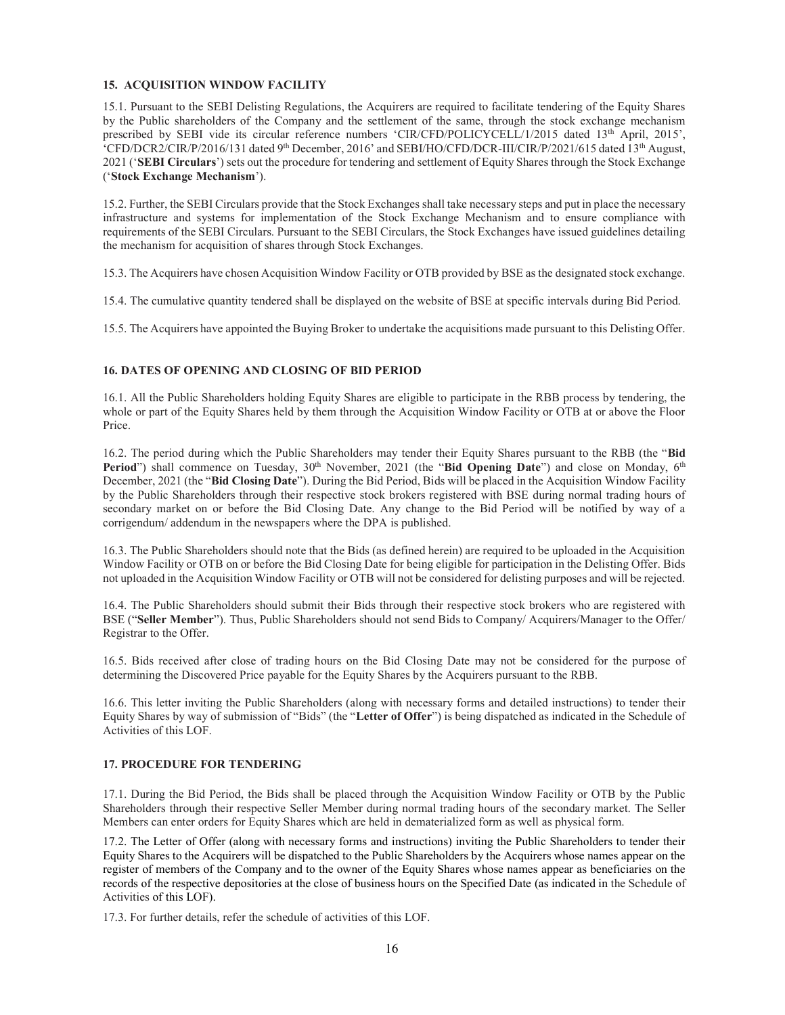# 15. ACQUISITION WINDOW FACILITY

15.1. Pursuant to the SEBI Delisting Regulations, the Acquirers are required to facilitate tendering of the Equity Shares by the Public shareholders of the Company and the settlement of the same, through the stock exchange mechanism prescribed by SEBI vide its circular reference numbers 'CIR/CFD/POLICYCELL/1/2015 dated 13<sup>th</sup> April, 2015', 'CFD/DCR2/CIR/P/2016/131 dated 9th December, 2016' and SEBI/HO/CFD/DCR-III/CIR/P/2021/615 dated 13th August, 2021 ('SEBI Circulars') sets out the procedure for tendering and settlement of Equity Shares through the Stock Exchange ('Stock Exchange Mechanism').

15.2. Further, the SEBI Circulars provide that the Stock Exchanges shall take necessary steps and put in place the necessary infrastructure and systems for implementation of the Stock Exchange Mechanism and to ensure compliance with requirements of the SEBI Circulars. Pursuant to the SEBI Circulars, the Stock Exchanges have issued guidelines detailing the mechanism for acquisition of shares through Stock Exchanges.

15.3. The Acquirers have chosen Acquisition Window Facility or OTB provided by BSE as the designated stock exchange.

15.4. The cumulative quantity tendered shall be displayed on the website of BSE at specific intervals during Bid Period.

15.5. The Acquirers have appointed the Buying Broker to undertake the acquisitions made pursuant to this Delisting Offer.

# 16. DATES OF OPENING AND CLOSING OF BID PERIOD

16.1. All the Public Shareholders holding Equity Shares are eligible to participate in the RBB process by tendering, the whole or part of the Equity Shares held by them through the Acquisition Window Facility or OTB at or above the Floor Price.

16.2. The period during which the Public Shareholders may tender their Equity Shares pursuant to the RBB (the "Bid **Period**") shall commence on Tuesday,  $30<sup>th</sup>$  November,  $2021$  (the "Bid Opening Date") and close on Monday,  $6<sup>th</sup>$ December, 2021 (the "Bid Closing Date"). During the Bid Period, Bids will be placed in the Acquisition Window Facility by the Public Shareholders through their respective stock brokers registered with BSE during normal trading hours of secondary market on or before the Bid Closing Date. Any change to the Bid Period will be notified by way of a corrigendum/ addendum in the newspapers where the DPA is published.

16.3. The Public Shareholders should note that the Bids (as defined herein) are required to be uploaded in the Acquisition Window Facility or OTB on or before the Bid Closing Date for being eligible for participation in the Delisting Offer. Bids not uploaded in the Acquisition Window Facility or OTB will not be considered for delisting purposes and will be rejected.

16.4. The Public Shareholders should submit their Bids through their respective stock brokers who are registered with BSE ("Seller Member"). Thus, Public Shareholders should not send Bids to Company/ Acquirers/Manager to the Offer/ Registrar to the Offer.

16.5. Bids received after close of trading hours on the Bid Closing Date may not be considered for the purpose of determining the Discovered Price payable for the Equity Shares by the Acquirers pursuant to the RBB.

16.6. This letter inviting the Public Shareholders (along with necessary forms and detailed instructions) to tender their Equity Shares by way of submission of "Bids" (the "Letter of Offer") is being dispatched as indicated in the Schedule of Activities of this LOF.

# 17. PROCEDURE FOR TENDERING

17.1. During the Bid Period, the Bids shall be placed through the Acquisition Window Facility or OTB by the Public Shareholders through their respective Seller Member during normal trading hours of the secondary market. The Seller Members can enter orders for Equity Shares which are held in dematerialized form as well as physical form.

17.2. The Letter of Offer (along with necessary forms and instructions) inviting the Public Shareholders to tender their Equity Shares to the Acquirers will be dispatched to the Public Shareholders by the Acquirers whose names appear on the register of members of the Company and to the owner of the Equity Shares whose names appear as beneficiaries on the records of the respective depositories at the close of business hours on the Specified Date (as indicated in the Schedule of Activities of this LOF).

17.3. For further details, refer the schedule of activities of this LOF.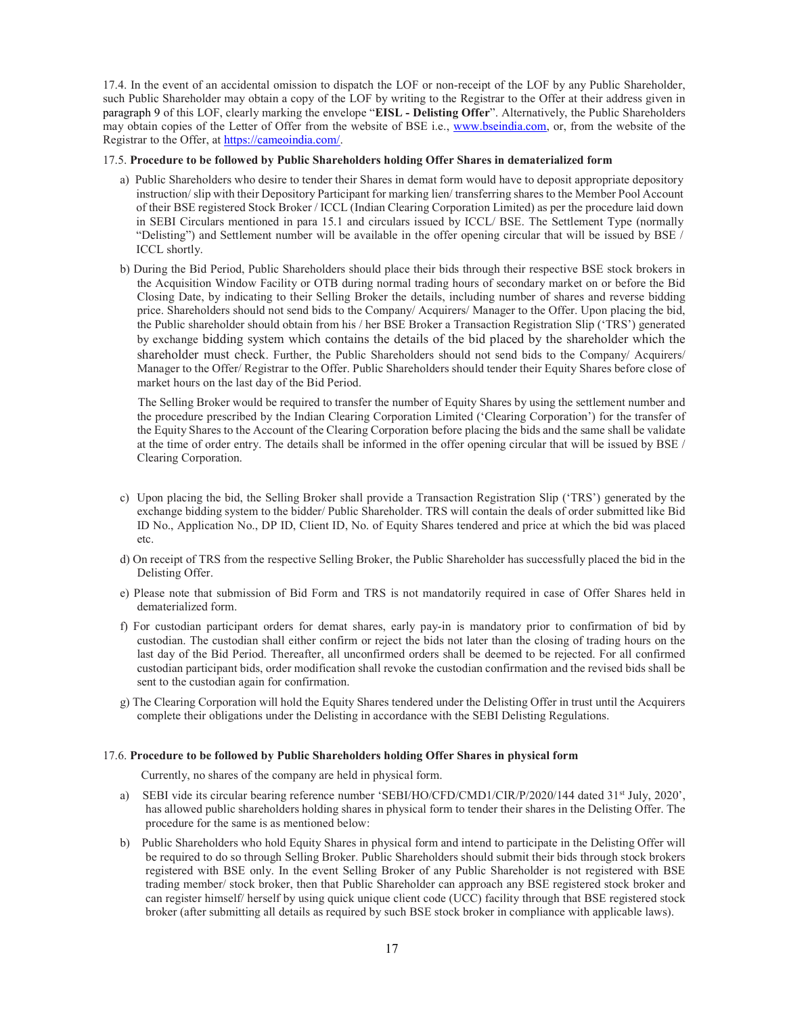17.4. In the event of an accidental omission to dispatch the LOF or non-receipt of the LOF by any Public Shareholder, such Public Shareholder may obtain a copy of the LOF by writing to the Registrar to the Offer at their address given in paragraph 9 of this LOF, clearly marking the envelope "EISL - Delisting Offer". Alternatively, the Public Shareholders may obtain copies of the Letter of Offer from the website of BSE i.e., www.bseindia.com, or, from the website of the Registrar to the Offer, at https://cameoindia.com/.

#### 17.5. Procedure to be followed by Public Shareholders holding Offer Shares in dematerialized form

- a) Public Shareholders who desire to tender their Shares in demat form would have to deposit appropriate depository instruction/ slip with their Depository Participant for marking lien/ transferring shares to the Member Pool Account of their BSE registered Stock Broker / ICCL (Indian Clearing Corporation Limited) as per the procedure laid down in SEBI Circulars mentioned in para 15.1 and circulars issued by ICCL/ BSE. The Settlement Type (normally "Delisting") and Settlement number will be available in the offer opening circular that will be issued by BSE / ICCL shortly.
- b) During the Bid Period, Public Shareholders should place their bids through their respective BSE stock brokers in the Acquisition Window Facility or OTB during normal trading hours of secondary market on or before the Bid Closing Date, by indicating to their Selling Broker the details, including number of shares and reverse bidding price. Shareholders should not send bids to the Company/ Acquirers/ Manager to the Offer. Upon placing the bid, the Public shareholder should obtain from his / her BSE Broker a Transaction Registration Slip ('TRS') generated by exchange bidding system which contains the details of the bid placed by the shareholder which the shareholder must check. Further, the Public Shareholders should not send bids to the Company/ Acquirers/ Manager to the Offer/ Registrar to the Offer. Public Shareholders should tender their Equity Shares before close of market hours on the last day of the Bid Period.

 The Selling Broker would be required to transfer the number of Equity Shares by using the settlement number and the procedure prescribed by the Indian Clearing Corporation Limited ('Clearing Corporation') for the transfer of the Equity Shares to the Account of the Clearing Corporation before placing the bids and the same shall be validate at the time of order entry. The details shall be informed in the offer opening circular that will be issued by BSE / Clearing Corporation.

- c) Upon placing the bid, the Selling Broker shall provide a Transaction Registration Slip ('TRS') generated by the exchange bidding system to the bidder/ Public Shareholder. TRS will contain the deals of order submitted like Bid ID No., Application No., DP ID, Client ID, No. of Equity Shares tendered and price at which the bid was placed etc.
- d) On receipt of TRS from the respective Selling Broker, the Public Shareholder has successfully placed the bid in the Delisting Offer.
- e) Please note that submission of Bid Form and TRS is not mandatorily required in case of Offer Shares held in dematerialized form.
- f) For custodian participant orders for demat shares, early pay-in is mandatory prior to confirmation of bid by custodian. The custodian shall either confirm or reject the bids not later than the closing of trading hours on the last day of the Bid Period. Thereafter, all unconfirmed orders shall be deemed to be rejected. For all confirmed custodian participant bids, order modification shall revoke the custodian confirmation and the revised bids shall be sent to the custodian again for confirmation.
- g) The Clearing Corporation will hold the Equity Shares tendered under the Delisting Offer in trust until the Acquirers complete their obligations under the Delisting in accordance with the SEBI Delisting Regulations.

#### 17.6. Procedure to be followed by Public Shareholders holding Offer Shares in physical form

Currently, no shares of the company are held in physical form.

- a) SEBI vide its circular bearing reference number 'SEBI/HO/CFD/CMD1/CIR/P/2020/144 dated 31<sup>st</sup> July, 2020', has allowed public shareholders holding shares in physical form to tender their shares in the Delisting Offer. The procedure for the same is as mentioned below:
- b) Public Shareholders who hold Equity Shares in physical form and intend to participate in the Delisting Offer will be required to do so through Selling Broker. Public Shareholders should submit their bids through stock brokers registered with BSE only. In the event Selling Broker of any Public Shareholder is not registered with BSE trading member/ stock broker, then that Public Shareholder can approach any BSE registered stock broker and can register himself/ herself by using quick unique client code (UCC) facility through that BSE registered stock broker (after submitting all details as required by such BSE stock broker in compliance with applicable laws).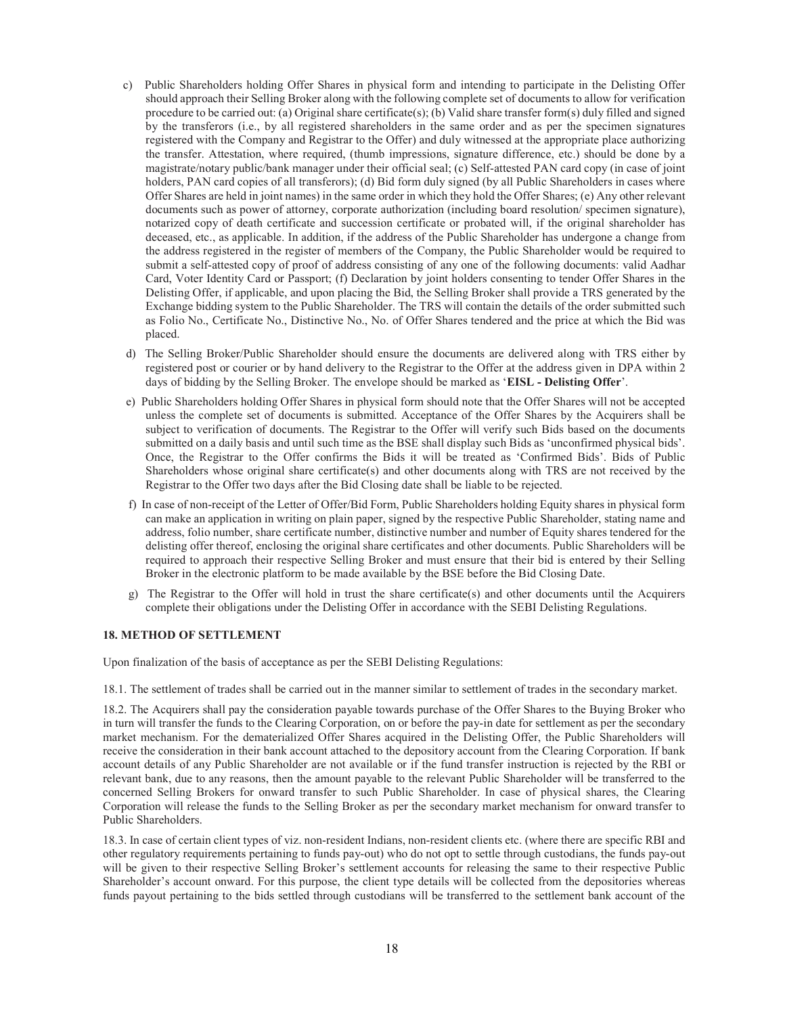- c) Public Shareholders holding Offer Shares in physical form and intending to participate in the Delisting Offer should approach their Selling Broker along with the following complete set of documents to allow for verification procedure to be carried out: (a) Original share certificate(s); (b) Valid share transfer form(s) duly filled and signed by the transferors (i.e., by all registered shareholders in the same order and as per the specimen signatures registered with the Company and Registrar to the Offer) and duly witnessed at the appropriate place authorizing the transfer. Attestation, where required, (thumb impressions, signature difference, etc.) should be done by a magistrate/notary public/bank manager under their official seal; (c) Self-attested PAN card copy (in case of joint holders, PAN card copies of all transferors); (d) Bid form duly signed (by all Public Shareholders in cases where Offer Shares are held in joint names) in the same order in which they hold the Offer Shares; (e) Any other relevant documents such as power of attorney, corporate authorization (including board resolution/ specimen signature), notarized copy of death certificate and succession certificate or probated will, if the original shareholder has deceased, etc., as applicable. In addition, if the address of the Public Shareholder has undergone a change from the address registered in the register of members of the Company, the Public Shareholder would be required to submit a self-attested copy of proof of address consisting of any one of the following documents: valid Aadhar Card, Voter Identity Card or Passport; (f) Declaration by joint holders consenting to tender Offer Shares in the Delisting Offer, if applicable, and upon placing the Bid, the Selling Broker shall provide a TRS generated by the Exchange bidding system to the Public Shareholder. The TRS will contain the details of the order submitted such as Folio No., Certificate No., Distinctive No., No. of Offer Shares tendered and the price at which the Bid was placed.
- d) The Selling Broker/Public Shareholder should ensure the documents are delivered along with TRS either by registered post or courier or by hand delivery to the Registrar to the Offer at the address given in DPA within 2 days of bidding by the Selling Broker. The envelope should be marked as 'EISL - Delisting Offer'.
- e) Public Shareholders holding Offer Shares in physical form should note that the Offer Shares will not be accepted unless the complete set of documents is submitted. Acceptance of the Offer Shares by the Acquirers shall be subject to verification of documents. The Registrar to the Offer will verify such Bids based on the documents submitted on a daily basis and until such time as the BSE shall display such Bids as 'unconfirmed physical bids'. Once, the Registrar to the Offer confirms the Bids it will be treated as 'Confirmed Bids'. Bids of Public Shareholders whose original share certificate(s) and other documents along with TRS are not received by the Registrar to the Offer two days after the Bid Closing date shall be liable to be rejected.
- f) In case of non-receipt of the Letter of Offer/Bid Form, Public Shareholders holding Equity shares in physical form can make an application in writing on plain paper, signed by the respective Public Shareholder, stating name and address, folio number, share certificate number, distinctive number and number of Equity shares tendered for the delisting offer thereof, enclosing the original share certificates and other documents. Public Shareholders will be required to approach their respective Selling Broker and must ensure that their bid is entered by their Selling Broker in the electronic platform to be made available by the BSE before the Bid Closing Date.
- g) The Registrar to the Offer will hold in trust the share certificate(s) and other documents until the Acquirers complete their obligations under the Delisting Offer in accordance with the SEBI Delisting Regulations.

#### 18. METHOD OF SETTLEMENT

Upon finalization of the basis of acceptance as per the SEBI Delisting Regulations:

18.1. The settlement of trades shall be carried out in the manner similar to settlement of trades in the secondary market.

18.2. The Acquirers shall pay the consideration payable towards purchase of the Offer Shares to the Buying Broker who in turn will transfer the funds to the Clearing Corporation, on or before the pay-in date for settlement as per the secondary market mechanism. For the dematerialized Offer Shares acquired in the Delisting Offer, the Public Shareholders will receive the consideration in their bank account attached to the depository account from the Clearing Corporation. If bank account details of any Public Shareholder are not available or if the fund transfer instruction is rejected by the RBI or relevant bank, due to any reasons, then the amount payable to the relevant Public Shareholder will be transferred to the concerned Selling Brokers for onward transfer to such Public Shareholder. In case of physical shares, the Clearing Corporation will release the funds to the Selling Broker as per the secondary market mechanism for onward transfer to Public Shareholders.

18.3. In case of certain client types of viz. non-resident Indians, non-resident clients etc. (where there are specific RBI and other regulatory requirements pertaining to funds pay-out) who do not opt to settle through custodians, the funds pay-out will be given to their respective Selling Broker's settlement accounts for releasing the same to their respective Public Shareholder's account onward. For this purpose, the client type details will be collected from the depositories whereas funds payout pertaining to the bids settled through custodians will be transferred to the settlement bank account of the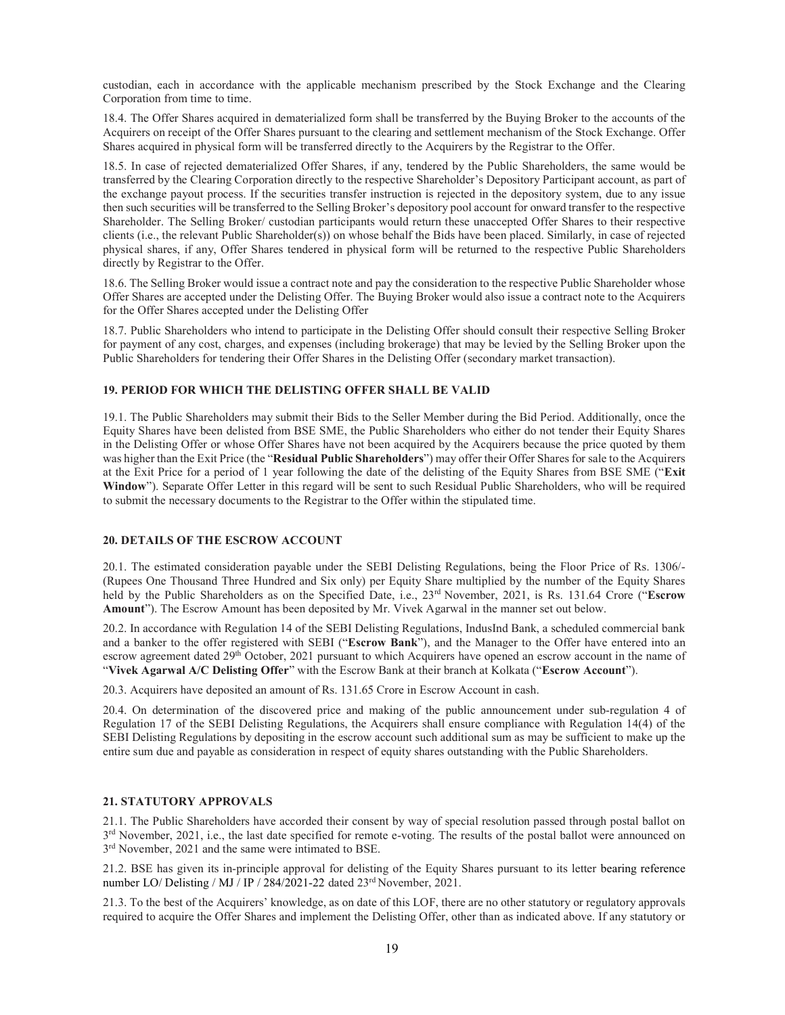custodian, each in accordance with the applicable mechanism prescribed by the Stock Exchange and the Clearing Corporation from time to time.

18.4. The Offer Shares acquired in dematerialized form shall be transferred by the Buying Broker to the accounts of the Acquirers on receipt of the Offer Shares pursuant to the clearing and settlement mechanism of the Stock Exchange. Offer Shares acquired in physical form will be transferred directly to the Acquirers by the Registrar to the Offer.

18.5. In case of rejected dematerialized Offer Shares, if any, tendered by the Public Shareholders, the same would be transferred by the Clearing Corporation directly to the respective Shareholder's Depository Participant account, as part of the exchange payout process. If the securities transfer instruction is rejected in the depository system, due to any issue then such securities will be transferred to the Selling Broker's depository pool account for onward transfer to the respective Shareholder. The Selling Broker/ custodian participants would return these unaccepted Offer Shares to their respective clients (i.e., the relevant Public Shareholder(s)) on whose behalf the Bids have been placed. Similarly, in case of rejected physical shares, if any, Offer Shares tendered in physical form will be returned to the respective Public Shareholders directly by Registrar to the Offer.

18.6. The Selling Broker would issue a contract note and pay the consideration to the respective Public Shareholder whose Offer Shares are accepted under the Delisting Offer. The Buying Broker would also issue a contract note to the Acquirers for the Offer Shares accepted under the Delisting Offer

18.7. Public Shareholders who intend to participate in the Delisting Offer should consult their respective Selling Broker for payment of any cost, charges, and expenses (including brokerage) that may be levied by the Selling Broker upon the Public Shareholders for tendering their Offer Shares in the Delisting Offer (secondary market transaction).

# 19. PERIOD FOR WHICH THE DELISTING OFFER SHALL BE VALID

19.1. The Public Shareholders may submit their Bids to the Seller Member during the Bid Period. Additionally, once the Equity Shares have been delisted from BSE SME, the Public Shareholders who either do not tender their Equity Shares in the Delisting Offer or whose Offer Shares have not been acquired by the Acquirers because the price quoted by them was higher than the Exit Price (the "Residual Public Shareholders") may offer their Offer Shares for sale to the Acquirers at the Exit Price for a period of 1 year following the date of the delisting of the Equity Shares from BSE SME ("Exit Window"). Separate Offer Letter in this regard will be sent to such Residual Public Shareholders, who will be required to submit the necessary documents to the Registrar to the Offer within the stipulated time.

#### 20. DETAILS OF THE ESCROW ACCOUNT

20.1. The estimated consideration payable under the SEBI Delisting Regulations, being the Floor Price of Rs. 1306/- (Rupees One Thousand Three Hundred and Six only) per Equity Share multiplied by the number of the Equity Shares held by the Public Shareholders as on the Specified Date, i.e., 23<sup>rd</sup> November, 2021, is Rs. 131.64 Crore ("Escrow Amount"). The Escrow Amount has been deposited by Mr. Vivek Agarwal in the manner set out below.

20.2. In accordance with Regulation 14 of the SEBI Delisting Regulations, IndusInd Bank, a scheduled commercial bank and a banker to the offer registered with SEBI ("Escrow Bank"), and the Manager to the Offer have entered into an escrow agreement dated 29<sup>th</sup> October, 2021 pursuant to which Acquirers have opened an escrow account in the name of "Vivek Agarwal A/C Delisting Offer" with the Escrow Bank at their branch at Kolkata ("Escrow Account").

20.3. Acquirers have deposited an amount of Rs. 131.65 Crore in Escrow Account in cash.

20.4. On determination of the discovered price and making of the public announcement under sub-regulation 4 of Regulation 17 of the SEBI Delisting Regulations, the Acquirers shall ensure compliance with Regulation 14(4) of the SEBI Delisting Regulations by depositing in the escrow account such additional sum as may be sufficient to make up the entire sum due and payable as consideration in respect of equity shares outstanding with the Public Shareholders.

#### 21. STATUTORY APPROVALS

21.1. The Public Shareholders have accorded their consent by way of special resolution passed through postal ballot on  $3<sup>rd</sup>$  November, 2021, i.e., the last date specified for remote e-voting. The results of the postal ballot were announced on 3<sup>rd</sup> November, 2021 and the same were intimated to BSE.

21.2. BSE has given its in-principle approval for delisting of the Equity Shares pursuant to its letter bearing reference number LO/ Delisting / MJ / IP / 284/2021-22 dated 23<sup>rd</sup> November, 2021.

21.3. To the best of the Acquirers' knowledge, as on date of this LOF, there are no other statutory or regulatory approvals required to acquire the Offer Shares and implement the Delisting Offer, other than as indicated above. If any statutory or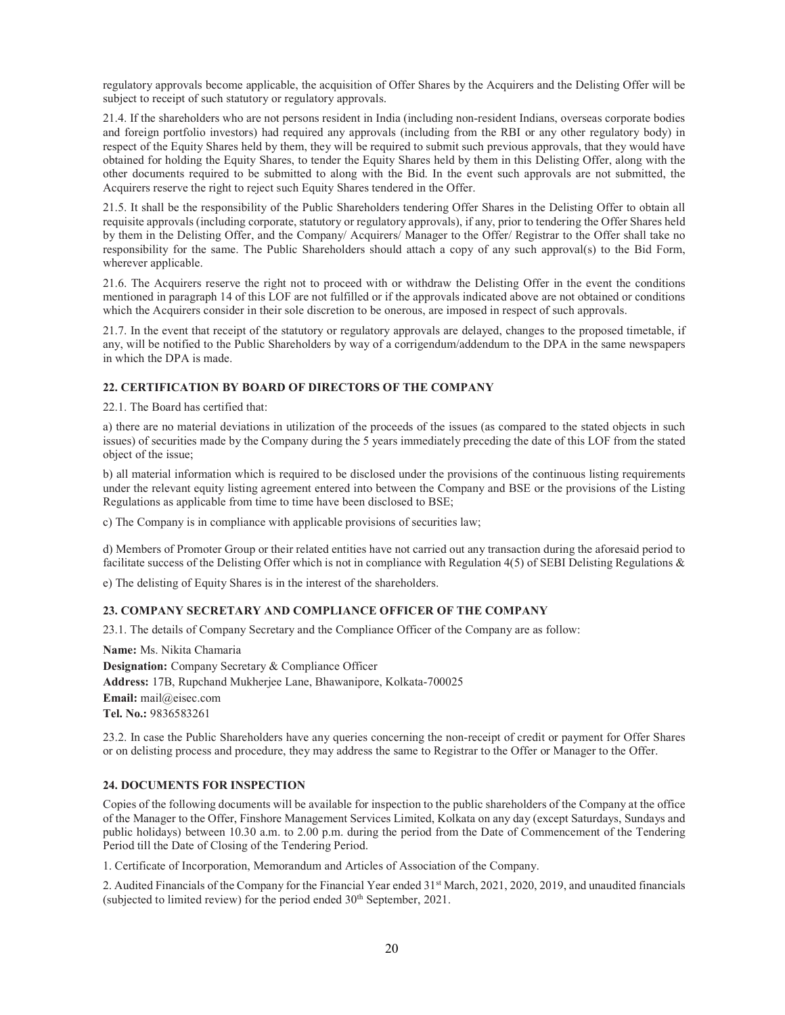regulatory approvals become applicable, the acquisition of Offer Shares by the Acquirers and the Delisting Offer will be subject to receipt of such statutory or regulatory approvals.

21.4. If the shareholders who are not persons resident in India (including non-resident Indians, overseas corporate bodies and foreign portfolio investors) had required any approvals (including from the RBI or any other regulatory body) in respect of the Equity Shares held by them, they will be required to submit such previous approvals, that they would have obtained for holding the Equity Shares, to tender the Equity Shares held by them in this Delisting Offer, along with the other documents required to be submitted to along with the Bid. In the event such approvals are not submitted, the Acquirers reserve the right to reject such Equity Shares tendered in the Offer.

21.5. It shall be the responsibility of the Public Shareholders tendering Offer Shares in the Delisting Offer to obtain all requisite approvals (including corporate, statutory or regulatory approvals), if any, prior to tendering the Offer Shares held by them in the Delisting Offer, and the Company/ Acquirers/ Manager to the Offer/ Registrar to the Offer shall take no responsibility for the same. The Public Shareholders should attach a copy of any such approval(s) to the Bid Form, wherever applicable.

21.6. The Acquirers reserve the right not to proceed with or withdraw the Delisting Offer in the event the conditions mentioned in paragraph 14 of this LOF are not fulfilled or if the approvals indicated above are not obtained or conditions which the Acquirers consider in their sole discretion to be onerous, are imposed in respect of such approvals.

21.7. In the event that receipt of the statutory or regulatory approvals are delayed, changes to the proposed timetable, if any, will be notified to the Public Shareholders by way of a corrigendum/addendum to the DPA in the same newspapers in which the DPA is made.

# 22. CERTIFICATION BY BOARD OF DIRECTORS OF THE COMPANY

22.1. The Board has certified that:

a) there are no material deviations in utilization of the proceeds of the issues (as compared to the stated objects in such issues) of securities made by the Company during the 5 years immediately preceding the date of this LOF from the stated object of the issue;

b) all material information which is required to be disclosed under the provisions of the continuous listing requirements under the relevant equity listing agreement entered into between the Company and BSE or the provisions of the Listing Regulations as applicable from time to time have been disclosed to BSE;

c) The Company is in compliance with applicable provisions of securities law;

d) Members of Promoter Group or their related entities have not carried out any transaction during the aforesaid period to facilitate success of the Delisting Offer which is not in compliance with Regulation 4(5) of SEBI Delisting Regulations &

e) The delisting of Equity Shares is in the interest of the shareholders.

#### 23. COMPANY SECRETARY AND COMPLIANCE OFFICER OF THE COMPANY

23.1. The details of Company Secretary and the Compliance Officer of the Company are as follow:

Name: Ms. Nikita Chamaria Designation: Company Secretary & Compliance Officer Address: 17B, Rupchand Mukherjee Lane, Bhawanipore, Kolkata-700025 Email: mail@eisec.com Tel. No.: 9836583261

23.2. In case the Public Shareholders have any queries concerning the non-receipt of credit or payment for Offer Shares or on delisting process and procedure, they may address the same to Registrar to the Offer or Manager to the Offer.

#### 24. DOCUMENTS FOR INSPECTION

Copies of the following documents will be available for inspection to the public shareholders of the Company at the office of the Manager to the Offer, Finshore Management Services Limited, Kolkata on any day (except Saturdays, Sundays and public holidays) between 10.30 a.m. to 2.00 p.m. during the period from the Date of Commencement of the Tendering Period till the Date of Closing of the Tendering Period.

1. Certificate of Incorporation, Memorandum and Articles of Association of the Company.

2. Audited Financials of the Company for the Financial Year ended 31<sup>st</sup> March, 2021, 2020, 2019, and unaudited financials (subjected to limited review) for the period ended  $30<sup>th</sup>$  September, 2021.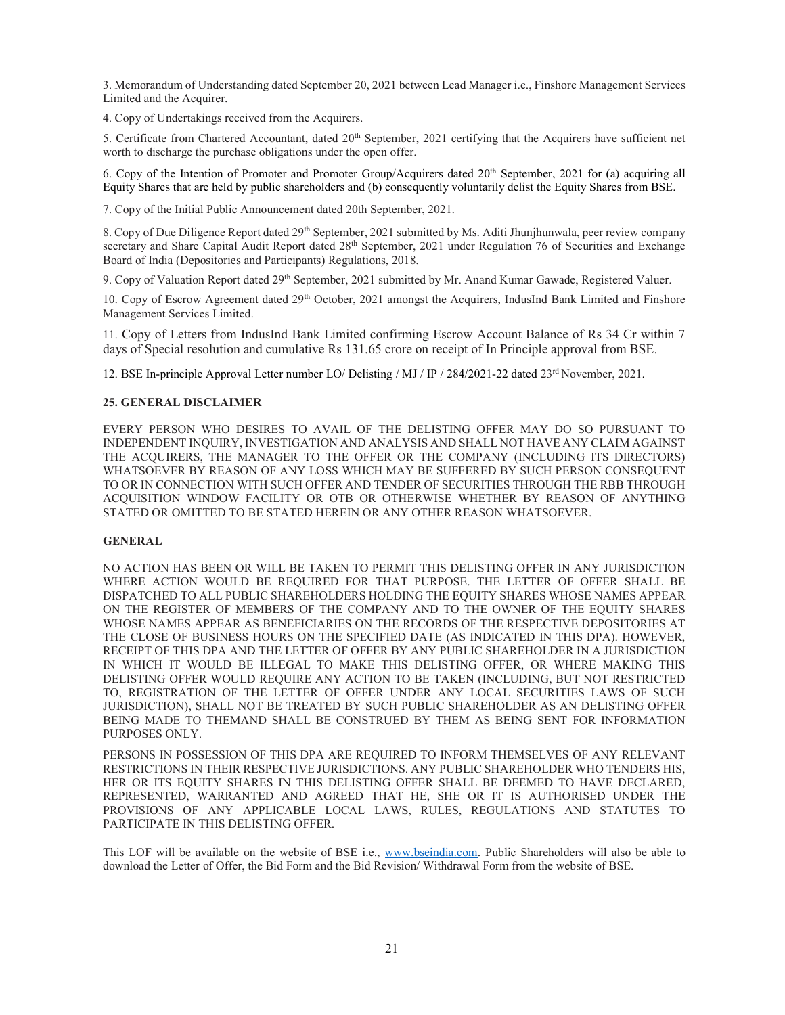3. Memorandum of Understanding dated September 20, 2021 between Lead Manager i.e., Finshore Management Services Limited and the Acquirer.

4. Copy of Undertakings received from the Acquirers.

5. Certificate from Chartered Accountant, dated 20<sup>th</sup> September, 2021 certifying that the Acquirers have sufficient net worth to discharge the purchase obligations under the open offer.

6. Copy of the Intention of Promoter and Promoter Group/Acquirers dated 20th September, 2021 for (a) acquiring all Equity Shares that are held by public shareholders and (b) consequently voluntarily delist the Equity Shares from BSE.

7. Copy of the Initial Public Announcement dated 20th September, 2021.

8. Copy of Due Diligence Report dated 29<sup>th</sup> September, 2021 submitted by Ms. Aditi Jhunjhunwala, peer review company secretary and Share Capital Audit Report dated 28<sup>th</sup> September, 2021 under Regulation 76 of Securities and Exchange Board of India (Depositories and Participants) Regulations, 2018.

9. Copy of Valuation Report dated 29<sup>th</sup> September, 2021 submitted by Mr. Anand Kumar Gawade, Registered Valuer.

10. Copy of Escrow Agreement dated 29<sup>th</sup> October, 2021 amongst the Acquirers, IndusInd Bank Limited and Finshore Management Services Limited.

11. Copy of Letters from IndusInd Bank Limited confirming Escrow Account Balance of Rs 34 Cr within 7 days of Special resolution and cumulative Rs 131.65 crore on receipt of In Principle approval from BSE.

12. BSE In-principle Approval Letter number LO/ Delisting / MJ / IP / 284/2021-22 dated 23rd November, 2021.

#### 25. GENERAL DISCLAIMER

EVERY PERSON WHO DESIRES TO AVAIL OF THE DELISTING OFFER MAY DO SO PURSUANT TO INDEPENDENT INQUIRY, INVESTIGATION AND ANALYSIS AND SHALL NOT HAVE ANY CLAIM AGAINST THE ACQUIRERS, THE MANAGER TO THE OFFER OR THE COMPANY (INCLUDING ITS DIRECTORS) WHATSOEVER BY REASON OF ANY LOSS WHICH MAY BE SUFFERED BY SUCH PERSON CONSEQUENT TO OR IN CONNECTION WITH SUCH OFFER AND TENDER OF SECURITIES THROUGH THE RBB THROUGH ACQUISITION WINDOW FACILITY OR OTB OR OTHERWISE WHETHER BY REASON OF ANYTHING STATED OR OMITTED TO BE STATED HEREIN OR ANY OTHER REASON WHATSOEVER.

#### GENERAL

NO ACTION HAS BEEN OR WILL BE TAKEN TO PERMIT THIS DELISTING OFFER IN ANY JURISDICTION WHERE ACTION WOULD BE REQUIRED FOR THAT PURPOSE. THE LETTER OF OFFER SHALL BE DISPATCHED TO ALL PUBLIC SHAREHOLDERS HOLDING THE EQUITY SHARES WHOSE NAMES APPEAR ON THE REGISTER OF MEMBERS OF THE COMPANY AND TO THE OWNER OF THE EQUITY SHARES WHOSE NAMES APPEAR AS BENEFICIARIES ON THE RECORDS OF THE RESPECTIVE DEPOSITORIES AT THE CLOSE OF BUSINESS HOURS ON THE SPECIFIED DATE (AS INDICATED IN THIS DPA). HOWEVER, RECEIPT OF THIS DPA AND THE LETTER OF OFFER BY ANY PUBLIC SHAREHOLDER IN A JURISDICTION IN WHICH IT WOULD BE ILLEGAL TO MAKE THIS DELISTING OFFER, OR WHERE MAKING THIS DELISTING OFFER WOULD REQUIRE ANY ACTION TO BE TAKEN (INCLUDING, BUT NOT RESTRICTED TO, REGISTRATION OF THE LETTER OF OFFER UNDER ANY LOCAL SECURITIES LAWS OF SUCH JURISDICTION), SHALL NOT BE TREATED BY SUCH PUBLIC SHAREHOLDER AS AN DELISTING OFFER BEING MADE TO THEMAND SHALL BE CONSTRUED BY THEM AS BEING SENT FOR INFORMATION PURPOSES ONLY.

PERSONS IN POSSESSION OF THIS DPA ARE REQUIRED TO INFORM THEMSELVES OF ANY RELEVANT RESTRICTIONS IN THEIR RESPECTIVE JURISDICTIONS. ANY PUBLIC SHAREHOLDER WHO TENDERS HIS, HER OR ITS EQUITY SHARES IN THIS DELISTING OFFER SHALL BE DEEMED TO HAVE DECLARED, REPRESENTED, WARRANTED AND AGREED THAT HE, SHE OR IT IS AUTHORISED UNDER THE PROVISIONS OF ANY APPLICABLE LOCAL LAWS, RULES, REGULATIONS AND STATUTES TO PARTICIPATE IN THIS DELISTING OFFER.

This LOF will be available on the website of BSE i.e., www.bseindia.com. Public Shareholders will also be able to download the Letter of Offer, the Bid Form and the Bid Revision/ Withdrawal Form from the website of BSE.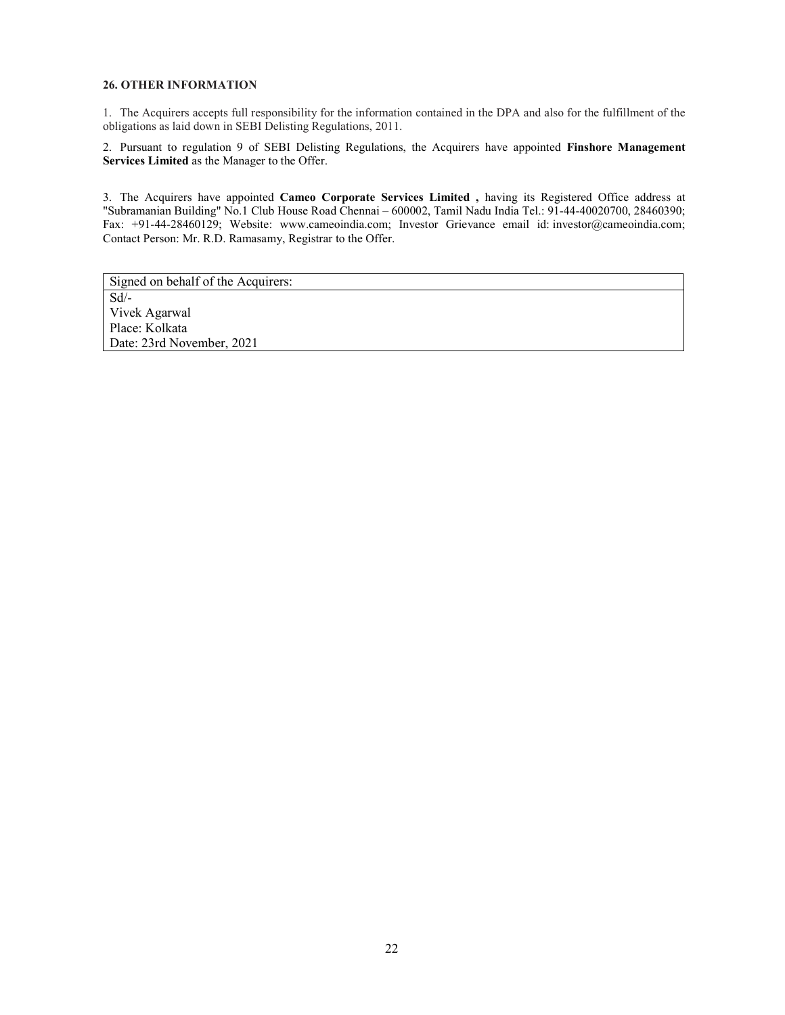# 26. OTHER INFORMATION

1. The Acquirers accepts full responsibility for the information contained in the DPA and also for the fulfillment of the obligations as laid down in SEBI Delisting Regulations, 2011.

2. Pursuant to regulation 9 of SEBI Delisting Regulations, the Acquirers have appointed Finshore Management Services Limited as the Manager to the Offer.

3. The Acquirers have appointed Cameo Corporate Services Limited , having its Registered Office address at "Subramanian Building" No.1 Club House Road Chennai – 600002, Tamil Nadu India Tel.: 91-44-40020700, 28460390; Fax: +91-44-28460129; Website: www.cameoindia.com; Investor Grievance email id: investor@cameoindia.com; Contact Person: Mr. R.D. Ramasamy, Registrar to the Offer.

Signed on behalf of the Acquirers: Sd/- Vivek Agarwal Place: Kolkata Date: 23rd November, 2021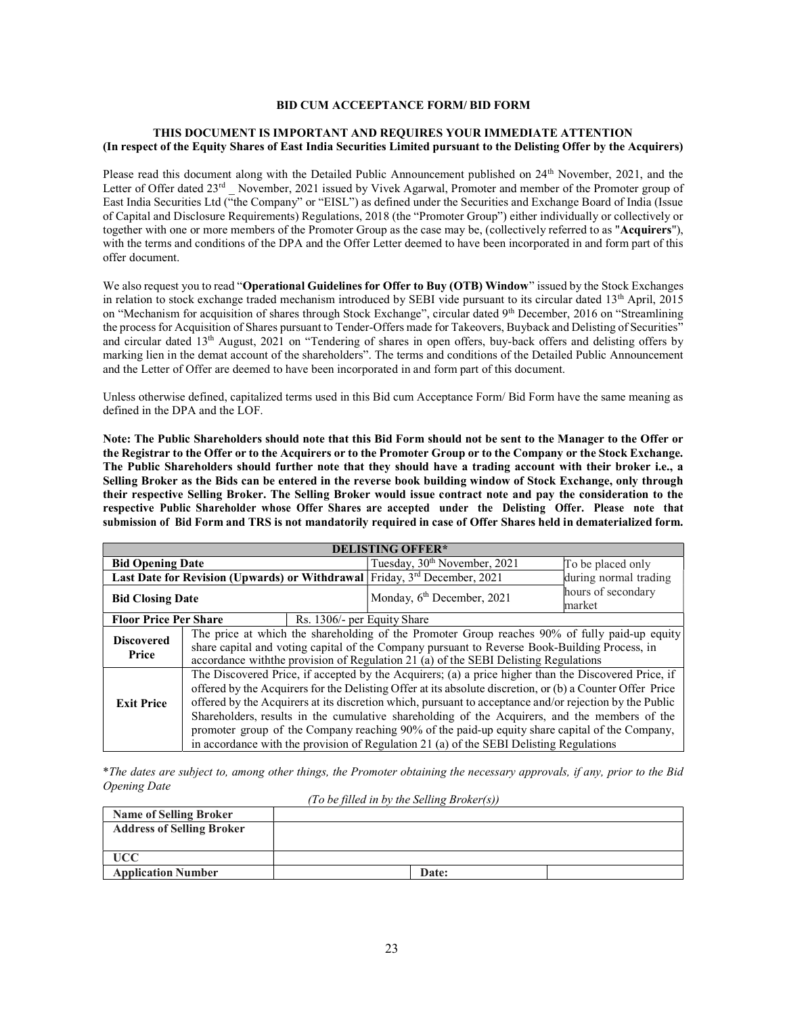#### BID CUM ACCEEPTANCE FORM/ BID FORM

# THIS DOCUMENT IS IMPORTANT AND REQUIRES YOUR IMMEDIATE ATTENTION (In respect of the Equity Shares of East India Securities Limited pursuant to the Delisting Offer by the Acquirers)

Please read this document along with the Detailed Public Announcement published on 24<sup>th</sup> November, 2021, and the Letter of Offer dated 23<sup>rd</sup> November, 2021 issued by Vivek Agarwal, Promoter and member of the Promoter group of East India Securities Ltd ("the Company" or "EISL") as defined under the Securities and Exchange Board of India (Issue of Capital and Disclosure Requirements) Regulations, 2018 (the "Promoter Group") either individually or collectively or together with one or more members of the Promoter Group as the case may be, (collectively referred to as "Acquirers"), with the terms and conditions of the DPA and the Offer Letter deemed to have been incorporated in and form part of this offer document.

We also request you to read "Operational Guidelines for Offer to Buy (OTB) Window" issued by the Stock Exchanges in relation to stock exchange traded mechanism introduced by SEBI vide pursuant to its circular dated  $13<sup>th</sup>$  April, 2015 on "Mechanism for acquisition of shares through Stock Exchange", circular dated 9th December, 2016 on "Streamlining the process for Acquisition of Shares pursuant to Tender-Offers made for Takeovers, Buyback and Delisting of Securities" and circular dated 13th August, 2021 on "Tendering of shares in open offers, buy-back offers and delisting offers by marking lien in the demat account of the shareholders". The terms and conditions of the Detailed Public Announcement and the Letter of Offer are deemed to have been incorporated in and form part of this document.

Unless otherwise defined, capitalized terms used in this Bid cum Acceptance Form/ Bid Form have the same meaning as defined in the DPA and the LOF.

Note: The Public Shareholders should note that this Bid Form should not be sent to the Manager to the Offer or the Registrar to the Offer or to the Acquirers or to the Promoter Group or to the Company or the Stock Exchange. The Public Shareholders should further note that they should have a trading account with their broker i.e., a Selling Broker as the Bids can be entered in the reverse book building window of Stock Exchange, only through their respective Selling Broker. The Selling Broker would issue contract note and pay the consideration to the respective Public Shareholder whose Offer Shares are accepted under the Delisting Offer. Please note that submission of Bid Form and TRS is not mandatorily required in case of Offer Shares held in dematerialized form.

| <b>DELISTING OFFER*</b>                                                                                                                                                                                                                                                                                                                                                                                                                                                                                                                                                                                                                         |  |                                          |                              |  |
|-------------------------------------------------------------------------------------------------------------------------------------------------------------------------------------------------------------------------------------------------------------------------------------------------------------------------------------------------------------------------------------------------------------------------------------------------------------------------------------------------------------------------------------------------------------------------------------------------------------------------------------------------|--|------------------------------------------|------------------------------|--|
| <b>Bid Opening Date</b>                                                                                                                                                                                                                                                                                                                                                                                                                                                                                                                                                                                                                         |  | Tuesday, 30 <sup>th</sup> November, 2021 | To be placed only            |  |
| Last Date for Revision (Upwards) or Withdrawal                                                                                                                                                                                                                                                                                                                                                                                                                                                                                                                                                                                                  |  | Friday, $3rd$ December, 2021             | during normal trading        |  |
| <b>Bid Closing Date</b>                                                                                                                                                                                                                                                                                                                                                                                                                                                                                                                                                                                                                         |  | Monday, 6 <sup>th</sup> December, 2021   | hours of secondary<br>market |  |
| <b>Floor Price Per Share</b>                                                                                                                                                                                                                                                                                                                                                                                                                                                                                                                                                                                                                    |  | Rs. 1306/- per Equity Share              |                              |  |
| The price at which the shareholding of the Promoter Group reaches 90% of fully paid-up equity<br><b>Discovered</b><br>share capital and voting capital of the Company pursuant to Reverse Book-Building Process, in<br>Price<br>accordance with the provision of Regulation 21 (a) of the SEBI Delisting Regulations                                                                                                                                                                                                                                                                                                                            |  |                                          |                              |  |
| The Discovered Price, if accepted by the Acquirers; (a) a price higher than the Discovered Price, if<br>offered by the Acquirers for the Delisting Offer at its absolute discretion, or (b) a Counter Offer Price<br>offered by the Acquirers at its discretion which, pursuant to acceptance and/or rejection by the Public<br><b>Exit Price</b><br>Shareholders, results in the cumulative shareholding of the Acquirers, and the members of the<br>promoter group of the Company reaching 90% of the paid-up equity share capital of the Company,<br>in accordance with the provision of Regulation 21 (a) of the SEBI Delisting Regulations |  |                                          |                              |  |

\*The dates are subject to, among other things, the Promoter obtaining the necessary approvals, if any, prior to the Bid Opening Date

(To be filled in by the Selling Broker(s))

| <b>Name of Selling Broker</b>    |  |              |  |
|----------------------------------|--|--------------|--|
| <b>Address of Selling Broker</b> |  |              |  |
|                                  |  |              |  |
| UCC                              |  |              |  |
| <b>Application Number</b>        |  | <b>Date:</b> |  |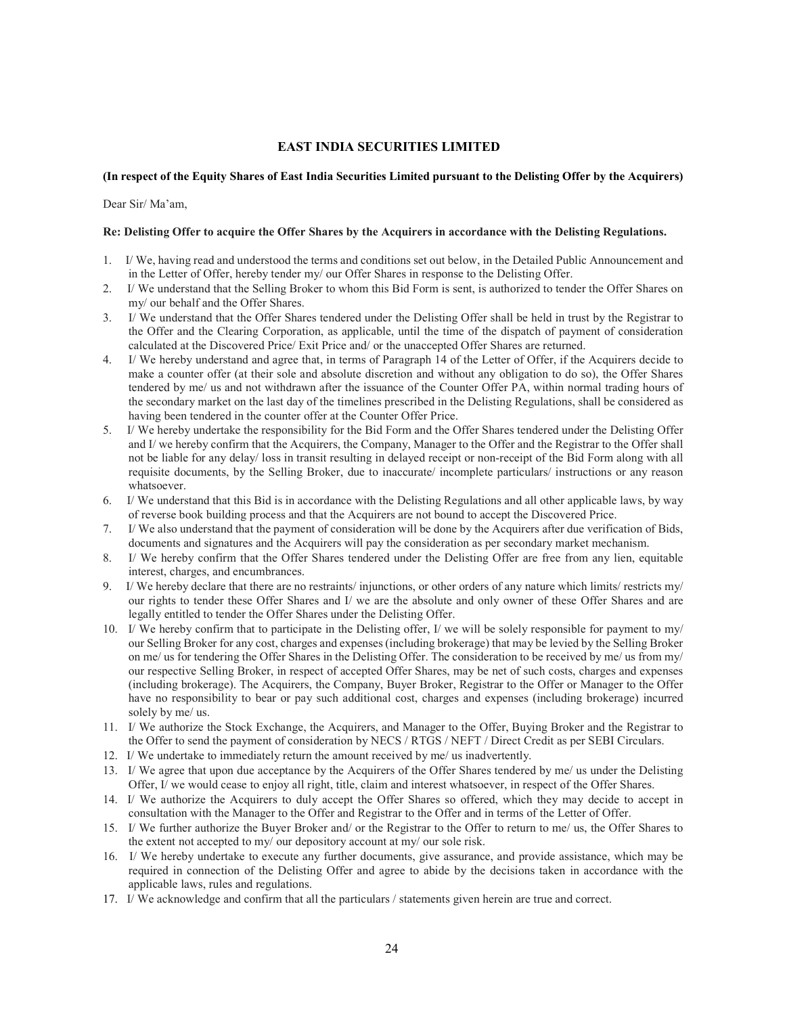# EAST INDIA SECURITIES LIMITED

# (In respect of the Equity Shares of East India Securities Limited pursuant to the Delisting Offer by the Acquirers)

Dear Sir/ Ma'am,

#### Re: Delisting Offer to acquire the Offer Shares by the Acquirers in accordance with the Delisting Regulations.

- 1. I/ We, having read and understood the terms and conditions set out below, in the Detailed Public Announcement and in the Letter of Offer, hereby tender my/ our Offer Shares in response to the Delisting Offer.
- 2. I/ We understand that the Selling Broker to whom this Bid Form is sent, is authorized to tender the Offer Shares on my/ our behalf and the Offer Shares.
- 3. I/ We understand that the Offer Shares tendered under the Delisting Offer shall be held in trust by the Registrar to the Offer and the Clearing Corporation, as applicable, until the time of the dispatch of payment of consideration calculated at the Discovered Price/ Exit Price and/ or the unaccepted Offer Shares are returned.
- 4. I/ We hereby understand and agree that, in terms of Paragraph 14 of the Letter of Offer, if the Acquirers decide to make a counter offer (at their sole and absolute discretion and without any obligation to do so), the Offer Shares tendered by me/ us and not withdrawn after the issuance of the Counter Offer PA, within normal trading hours of the secondary market on the last day of the timelines prescribed in the Delisting Regulations, shall be considered as having been tendered in the counter offer at the Counter Offer Price.
- 5. I/ We hereby undertake the responsibility for the Bid Form and the Offer Shares tendered under the Delisting Offer and I/ we hereby confirm that the Acquirers, the Company, Manager to the Offer and the Registrar to the Offer shall not be liable for any delay/ loss in transit resulting in delayed receipt or non-receipt of the Bid Form along with all requisite documents, by the Selling Broker, due to inaccurate/ incomplete particulars/ instructions or any reason whatsoever.
- 6. I/ We understand that this Bid is in accordance with the Delisting Regulations and all other applicable laws, by way of reverse book building process and that the Acquirers are not bound to accept the Discovered Price.
- 7. I/ We also understand that the payment of consideration will be done by the Acquirers after due verification of Bids, documents and signatures and the Acquirers will pay the consideration as per secondary market mechanism.
- 8. I/ We hereby confirm that the Offer Shares tendered under the Delisting Offer are free from any lien, equitable interest, charges, and encumbrances.
- 9. I/ We hereby declare that there are no restraints/ injunctions, or other orders of any nature which limits/ restricts my/ our rights to tender these Offer Shares and I/ we are the absolute and only owner of these Offer Shares and are legally entitled to tender the Offer Shares under the Delisting Offer.
- 10. I/ We hereby confirm that to participate in the Delisting offer, I/ we will be solely responsible for payment to my/ our Selling Broker for any cost, charges and expenses (including brokerage) that may be levied by the Selling Broker on me/ us for tendering the Offer Shares in the Delisting Offer. The consideration to be received by me/ us from my/ our respective Selling Broker, in respect of accepted Offer Shares, may be net of such costs, charges and expenses (including brokerage). The Acquirers, the Company, Buyer Broker, Registrar to the Offer or Manager to the Offer have no responsibility to bear or pay such additional cost, charges and expenses (including brokerage) incurred solely by me/ us.
- 11. I/ We authorize the Stock Exchange, the Acquirers, and Manager to the Offer, Buying Broker and the Registrar to the Offer to send the payment of consideration by NECS / RTGS / NEFT / Direct Credit as per SEBI Circulars.
- 12. I/ We undertake to immediately return the amount received by me/ us inadvertently.
- 13. I/ We agree that upon due acceptance by the Acquirers of the Offer Shares tendered by me/ us under the Delisting Offer, I/ we would cease to enjoy all right, title, claim and interest whatsoever, in respect of the Offer Shares.
- 14. I/ We authorize the Acquirers to duly accept the Offer Shares so offered, which they may decide to accept in consultation with the Manager to the Offer and Registrar to the Offer and in terms of the Letter of Offer.
- 15. I/ We further authorize the Buyer Broker and/ or the Registrar to the Offer to return to me/ us, the Offer Shares to the extent not accepted to my/ our depository account at my/ our sole risk.
- 16. I/ We hereby undertake to execute any further documents, give assurance, and provide assistance, which may be required in connection of the Delisting Offer and agree to abide by the decisions taken in accordance with the applicable laws, rules and regulations.
- 17. I/ We acknowledge and confirm that all the particulars / statements given herein are true and correct.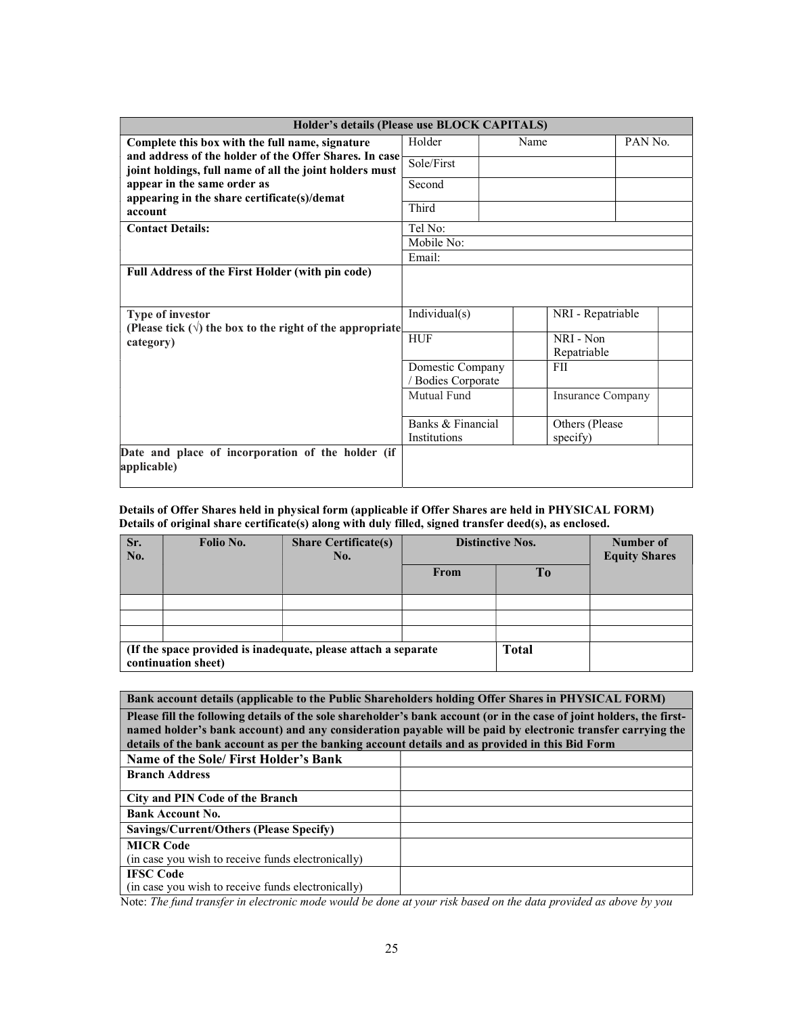| Holder's details (Please use BLOCK CAPITALS)                                  |                                        |      |                             |                                 |
|-------------------------------------------------------------------------------|----------------------------------------|------|-----------------------------|---------------------------------|
| Complete this box with the full name, signature                               | Holder                                 | Name |                             | PAN <sub>N</sub> <sub>o</sub> . |
| and address of the holder of the Offer Shares. In case                        | Sole/First                             |      |                             |                                 |
| joint holdings, full name of all the joint holders must                       |                                        |      |                             |                                 |
| appear in the same order as<br>appearing in the share certificate(s)/demat    | Second                                 |      |                             |                                 |
| account                                                                       | Third                                  |      |                             |                                 |
| <b>Contact Details:</b>                                                       | Tel No:                                |      |                             |                                 |
|                                                                               | Mobile No:                             |      |                             |                                 |
|                                                                               | Email:                                 |      |                             |                                 |
| Full Address of the First Holder (with pin code)                              |                                        |      |                             |                                 |
| Type of investor                                                              | Individual(s)                          |      | NRI - Repatriable           |                                 |
| (Please tick $(\sqrt{})$ the box to the right of the appropriate<br>category) | <b>HUF</b>                             |      | NRI - Non<br>Repatriable    |                                 |
|                                                                               | Domestic Company<br>/ Bodies Corporate |      | <b>FII</b>                  |                                 |
|                                                                               | Mutual Fund                            |      | Insurance Company           |                                 |
|                                                                               | Banks & Financial<br>Institutions      |      | Others (Please)<br>specify) |                                 |
| Date and place of incorporation of the holder (if<br>applicable)              |                                        |      |                             |                                 |

#### Details of Offer Shares held in physical form (applicable if Offer Shares are held in PHYSICAL FORM) Details of original share certificate(s) along with duly filled, signed transfer deed(s), as enclosed.

| Sr.<br>No. | Folio No.           | <b>Share Certificate(s)</b><br>No.                             |      | <b>Distinctive Nos.</b> | Number of<br><b>Equity Shares</b> |
|------------|---------------------|----------------------------------------------------------------|------|-------------------------|-----------------------------------|
|            |                     |                                                                | From | To                      |                                   |
|            |                     |                                                                |      |                         |                                   |
|            |                     |                                                                |      |                         |                                   |
|            |                     |                                                                |      |                         |                                   |
|            | continuation sheet) | (If the space provided is inadequate, please attach a separate |      | <b>Total</b>            |                                   |

# Bank account details (applicable to the Public Shareholders holding Offer Shares in PHYSICAL FORM)

Please fill the following details of the sole shareholder's bank account (or in the case of joint holders, the firstnamed holder's bank account) and any consideration payable will be paid by electronic transfer carrying the details of the bank account as per the banking account details and as provided in this Bid Form

| Name of the Sole/ First Holder's Bank              |  |
|----------------------------------------------------|--|
| <b>Branch Address</b>                              |  |
| City and PIN Code of the Branch                    |  |
|                                                    |  |
| <b>Bank Account No.</b>                            |  |
| Savings/Current/Others (Please Specify)            |  |
| <b>MICR Code</b>                                   |  |
| (in case you wish to receive funds electronically) |  |
| <b>IFSC Code</b>                                   |  |
| (in case you wish to receive funds electronically) |  |

Note: The fund transfer in electronic mode would be done at your risk based on the data provided as above by you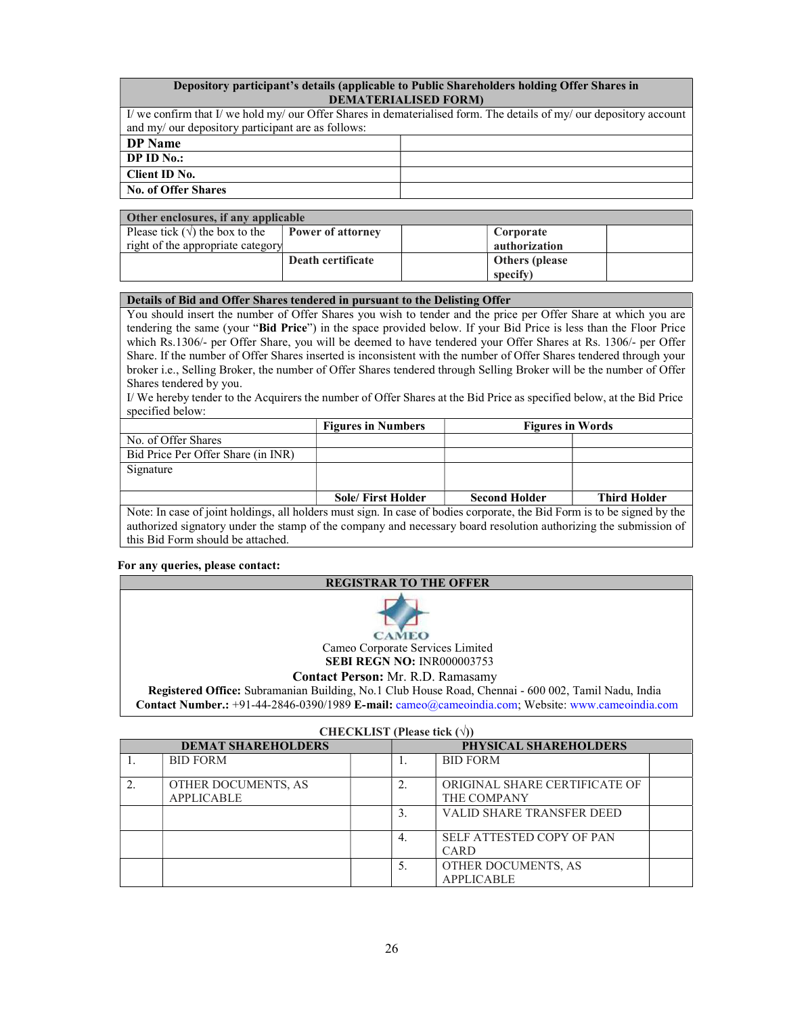# Depository participant's details (applicable to Public Shareholders holding Offer Shares in DEMATERIALISED FORM)

| I/ we confirm that I/ we hold my/ our Offer Shares in dematerialised form. The details of my/ our depository account |  |  |
|----------------------------------------------------------------------------------------------------------------------|--|--|
| and my/ our depository participant are as follows:                                                                   |  |  |
| <b>DP</b> Name                                                                                                       |  |  |
| DPID No.                                                                                                             |  |  |
| Client ID No.                                                                                                        |  |  |
| <b>No. of Offer Shares</b>                                                                                           |  |  |

| Other enclosures, if any applicable    |                          |                        |
|----------------------------------------|--------------------------|------------------------|
| Please tick $(\forall)$ the box to the | <b>Power of attorney</b> | Corporate              |
| right of the appropriate category      |                          | authorization          |
|                                        | Death certificate        | <b>Others</b> (please) |
|                                        |                          | specify)               |

#### Details of Bid and Offer Shares tendered in pursuant to the Delisting Offer

You should insert the number of Offer Shares you wish to tender and the price per Offer Share at which you are tendering the same (your "Bid Price") in the space provided below. If your Bid Price is less than the Floor Price which Rs.1306/- per Offer Share, you will be deemed to have tendered your Offer Shares at Rs. 1306/- per Offer Share. If the number of Offer Shares inserted is inconsistent with the number of Offer Shares tendered through your broker i.e., Selling Broker, the number of Offer Shares tendered through Selling Broker will be the number of Offer Shares tendered by you.

I/ We hereby tender to the Acquirers the number of Offer Shares at the Bid Price as specified below, at the Bid Price specified below:

|                                                                                                                          | <b>Figures in Numbers</b> | <b>Figures in Words</b> |                     |
|--------------------------------------------------------------------------------------------------------------------------|---------------------------|-------------------------|---------------------|
| No. of Offer Shares                                                                                                      |                           |                         |                     |
| Bid Price Per Offer Share (in INR)                                                                                       |                           |                         |                     |
| Signature                                                                                                                |                           |                         |                     |
|                                                                                                                          |                           |                         |                     |
|                                                                                                                          | <b>Sole/First Holder</b>  | <b>Second Holder</b>    | <b>Third Holder</b> |
| Note: In case of joint holdings, all holders must sign. In case of bodies corporate, the Bid Form is to be signed by the |                           |                         |                     |
| authorized signatory under the stamp of the company and necessary board resolution authorizing the submission of         |                           |                         |                     |
| this Bid Form should be attached.                                                                                        |                           |                         |                     |

#### For any queries, please contact:

#### REGISTRAR TO THE OFFER



 Cameo Corporate Services Limited SEBI REGN NO: INR000003753

## Contact Person: Mr. R.D. Ramasamy

 Registered Office: Subramanian Building, No.1 Club House Road, Chennai - 600 002, Tamil Nadu, India Contact Number.: +91-44-2846-0390/1989 E-mail: cameo@cameoindia.com; Website: www.cameoindia.com

| <b>CHECKLIST</b> (Please tick $(\forall)$ ) |  |    |                                              |  |
|---------------------------------------------|--|----|----------------------------------------------|--|
| <b>DEMAT SHAREHOLDERS</b>                   |  |    | <b>PHYSICAL SHAREHOLDERS</b>                 |  |
| <b>BID FORM</b>                             |  |    | <b>BID FORM</b>                              |  |
| OTHER DOCUMENTS, AS<br><b>APPLICABLE</b>    |  |    | ORIGINAL SHARE CERTIFICATE OF<br>THE COMPANY |  |
|                                             |  | 3  | <b>VALID SHARE TRANSFER DEED</b>             |  |
|                                             |  | 4. | SELF ATTESTED COPY OF PAN<br>CARD            |  |
|                                             |  | .5 | OTHER DOCUMENTS, AS<br><b>APPLICABLE</b>     |  |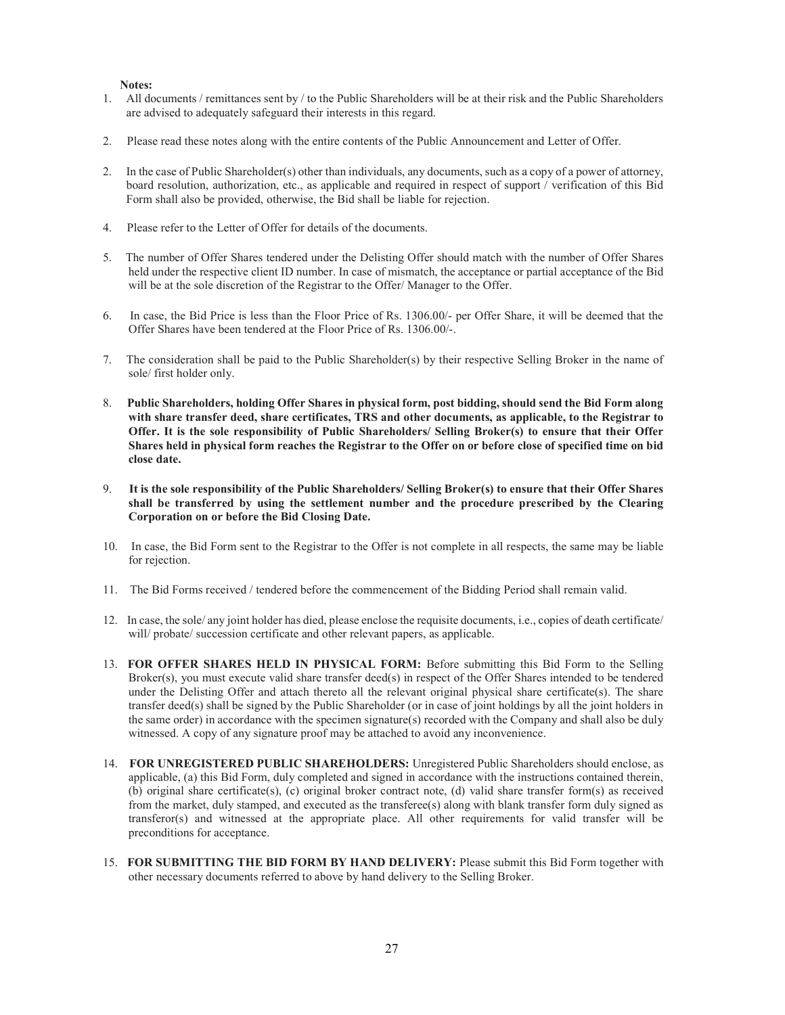#### Notes:

- 1. All documents / remittances sent by / to the Public Shareholders will be at their risk and the Public Shareholders are advised to adequately safeguard their interests in this regard.
- 2. Please read these notes along with the entire contents of the Public Announcement and Letter of Offer.
- 2. In the case of Public Shareholder(s) other than individuals, any documents, such as a copy of a power of attorney, board resolution, authorization, etc., as applicable and required in respect of support / verification of this Bid Form shall also be provided, otherwise, the Bid shall be liable for rejection.
- 4. Please refer to the Letter of Offer for details of the documents.
- 5. The number of Offer Shares tendered under the Delisting Offer should match with the number of Offer Shares held under the respective client ID number. In case of mismatch, the acceptance or partial acceptance of the Bid will be at the sole discretion of the Registrar to the Offer/ Manager to the Offer.
- 6. In case, the Bid Price is less than the Floor Price of Rs. 1306.00/- per Offer Share, it will be deemed that the Offer Shares have been tendered at the Floor Price of Rs. 1306.00/-.
- 7. The consideration shall be paid to the Public Shareholder(s) by their respective Selling Broker in the name of sole/ first holder only.
- 8. Public Shareholders, holding Offer Shares in physical form, post bidding, should send the Bid Form along with share transfer deed, share certificates, TRS and other documents, as applicable, to the Registrar to Offer. It is the sole responsibility of Public Shareholders/ Selling Broker(s) to ensure that their Offer Shares held in physical form reaches the Registrar to the Offer on or before close of specified time on bid close date.
- 9. It is the sole responsibility of the Public Shareholders/ Selling Broker(s) to ensure that their Offer Shares shall be transferred by using the settlement number and the procedure prescribed by the Clearing Corporation on or before the Bid Closing Date.
- 10. In case, the Bid Form sent to the Registrar to the Offer is not complete in all respects, the same may be liable for rejection.
- 11. The Bid Forms received / tendered before the commencement of the Bidding Period shall remain valid.
- 12. In case, the sole/ any joint holder has died, please enclose the requisite documents, i.e., copies of death certificate/ will/ probate/ succession certificate and other relevant papers, as applicable.
- 13. FOR OFFER SHARES HELD IN PHYSICAL FORM: Before submitting this Bid Form to the Selling Broker(s), you must execute valid share transfer deed(s) in respect of the Offer Shares intended to be tendered under the Delisting Offer and attach thereto all the relevant original physical share certificate(s). The share transfer deed(s) shall be signed by the Public Shareholder (or in case of joint holdings by all the joint holders in the same order) in accordance with the specimen signature(s) recorded with the Company and shall also be duly witnessed. A copy of any signature proof may be attached to avoid any inconvenience.
- 14. FOR UNREGISTERED PUBLIC SHAREHOLDERS: Unregistered Public Shareholders should enclose, as applicable, (a) this Bid Form, duly completed and signed in accordance with the instructions contained therein, (b) original share certificate(s), (c) original broker contract note, (d) valid share transfer form(s) as received from the market, duly stamped, and executed as the transferee(s) along with blank transfer form duly signed as transferor(s) and witnessed at the appropriate place. All other requirements for valid transfer will be preconditions for acceptance.
- 15. FOR SUBMITTING THE BID FORM BY HAND DELIVERY: Please submit this Bid Form together with other necessary documents referred to above by hand delivery to the Selling Broker.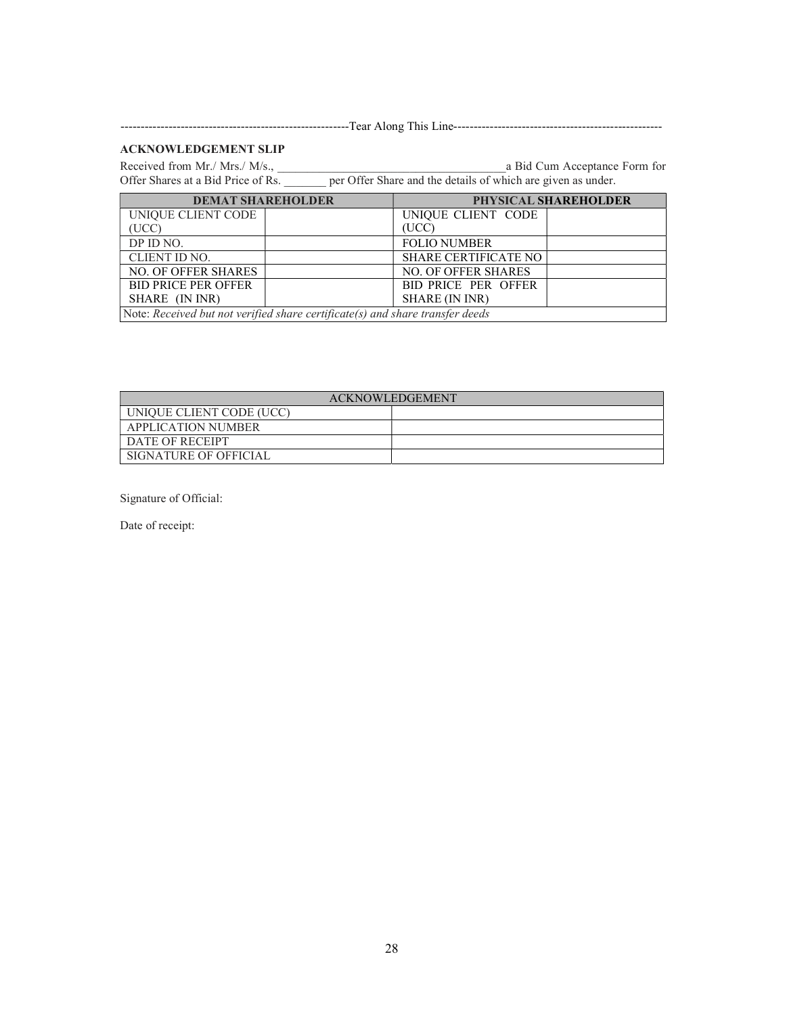---------------------------------------------------------Tear Along This Line----------------------------------------------------

# ACKNOWLEDGEMENT SLIP

Received from Mr./ Mrs./ M/s., and a Bid Cum Acceptance Form for Offer Shares at a Bid Price of Rs.  $\qquad \qquad$  per Offer Share and the details of which are given as under.

| <b>DEMAT SHAREHOLDER</b>                                                      | PHYSICAL SHAREHOLDER        |  |
|-------------------------------------------------------------------------------|-----------------------------|--|
| UNIQUE CLIENT CODE                                                            | UNIQUE CLIENT CODE          |  |
| (UCC)                                                                         | (UCC)                       |  |
| DP ID NO.                                                                     | <b>FOLIO NUMBER</b>         |  |
| CLIENT ID NO.                                                                 | <b>SHARE CERTIFICATE NO</b> |  |
| <b>NO. OF OFFER SHARES</b>                                                    | <b>NO. OF OFFER SHARES</b>  |  |
| <b>BID PRICE PER OFFER</b>                                                    | BID PRICE PER OFFER         |  |
| SHARE (IN INR)                                                                | SHARE (IN INR)              |  |
| Note: Received but not verified share certificate(s) and share transfer deeds |                             |  |

| <b>ACKNOWLEDGEMENT</b>    |  |  |
|---------------------------|--|--|
| UNIQUE CLIENT CODE (UCC)  |  |  |
| <b>APPLICATION NUMBER</b> |  |  |
| DATE OF RECEIPT           |  |  |
| SIGNATURE OF OFFICIAL     |  |  |

Signature of Official:

Date of receipt: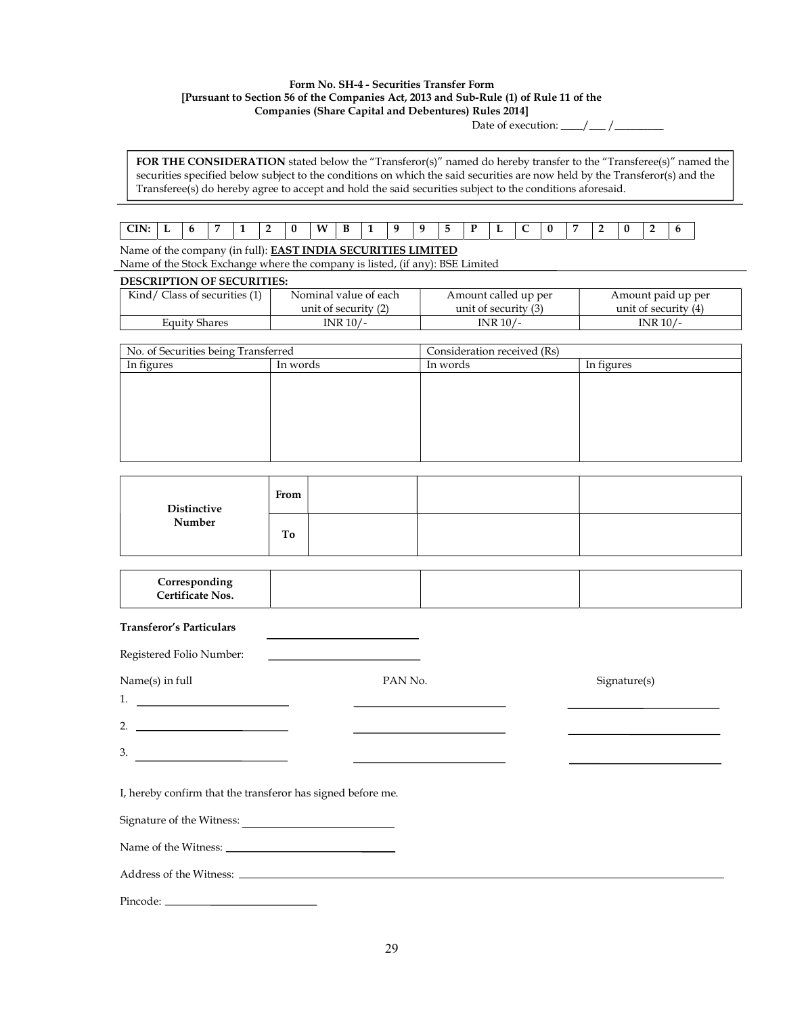#### Form No. SH-4 - Securities Transfer Form [Pursuant to Section 56 of the Companies Act, 2013 and Sub-Rule (1) of Rule 11 of the Companies (Share Capital and Debentures) Rules 2014]

Date of execution:  $\frac{\sqrt{2}}{2}$ 

FOR THE CONSIDERATION stated below the "Transferor(s)" named do hereby transfer to the "Transferee(s)" named the securities specified below subject to the conditions on which the said securities are now held by the Transferor(s) and the Transferee(s) do hereby agree to accept and hold the said securities subject to the conditions aforesaid.

# CIN: L 6 7 1 2 0 W B 1 9 9 5 P L C 0 7 2 0 2 6

Name of the company (in full): EAST INDIA SECURITIES LIMITED

Name of the Stock Exchange where the company is listed, (if any): BSE Limited

# DESCRIPTION OF SECURITIES:

| Kind/ Class of securities (1) | Nominal value of each | Amount called up per | Amount paid up per   |
|-------------------------------|-----------------------|----------------------|----------------------|
|                               | unit of security (2)  | unit of security (3) | unit of security (4) |
| Equity Shares                 | 'NR 10/-              | INR 10/-             | $INR$ 10/-           |

| No. of Securities being Transferred |          | Consideration received (Rs) |            |
|-------------------------------------|----------|-----------------------------|------------|
| In figures                          | In words | In words                    | In figures |
|                                     |          |                             |            |
|                                     |          |                             |            |
|                                     |          |                             |            |
|                                     |          |                             |            |
|                                     |          |                             |            |
|                                     |          |                             |            |

|                       | From |  |  |
|-----------------------|------|--|--|
| Distinctive<br>Number | To   |  |  |

| Corresponding<br><b>Certificate Nos.</b> |  |  |  |
|------------------------------------------|--|--|--|
|------------------------------------------|--|--|--|

#### Transferor's Particulars

| Registered Folio Number: 2008                                                                                                                                                                                                                                                                                          |                                                                                                                       |              |
|------------------------------------------------------------------------------------------------------------------------------------------------------------------------------------------------------------------------------------------------------------------------------------------------------------------------|-----------------------------------------------------------------------------------------------------------------------|--------------|
| Name(s) in full                                                                                                                                                                                                                                                                                                        | PAN No.                                                                                                               | Signature(s) |
|                                                                                                                                                                                                                                                                                                                        |                                                                                                                       |              |
| 2. $\frac{1}{2}$ $\frac{1}{2}$ $\frac{1}{2}$ $\frac{1}{2}$ $\frac{1}{2}$ $\frac{1}{2}$ $\frac{1}{2}$ $\frac{1}{2}$ $\frac{1}{2}$ $\frac{1}{2}$ $\frac{1}{2}$ $\frac{1}{2}$ $\frac{1}{2}$ $\frac{1}{2}$ $\frac{1}{2}$ $\frac{1}{2}$ $\frac{1}{2}$ $\frac{1}{2}$ $\frac{1}{2}$ $\frac{1}{2}$ $\frac{1}{2}$ $\frac{1}{2}$ | <u> 1989 - Andrea State Barbara, amerikan personal di sebagai personal di sebagai personal di sebagai personal di</u> |              |
| $\overline{\phantom{a}}$                                                                                                                                                                                                                                                                                               |                                                                                                                       |              |
| I, hereby confirm that the transferor has signed before me.                                                                                                                                                                                                                                                            |                                                                                                                       |              |
|                                                                                                                                                                                                                                                                                                                        |                                                                                                                       |              |